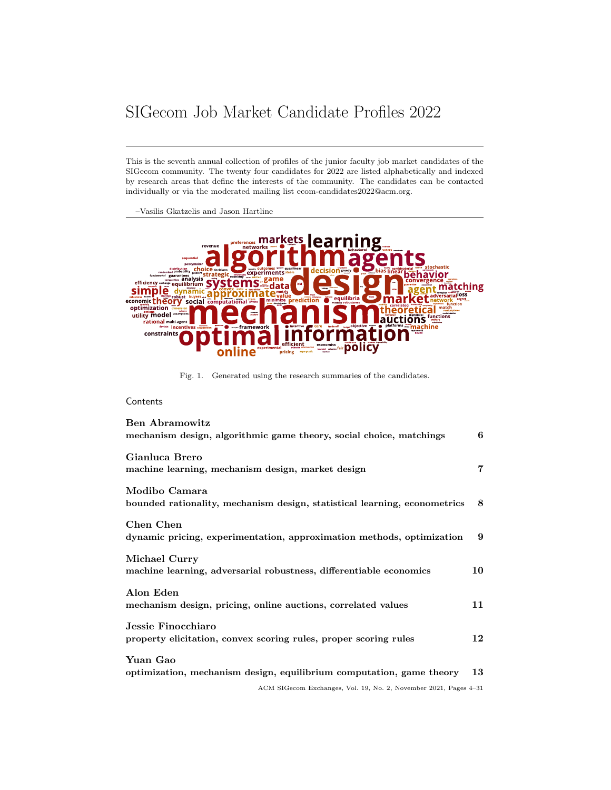# <span id="page-0-0"></span>SIGecom Job Market Candidate Profiles 2022

This is the seventh annual collection of profiles of the junior faculty job market candidates of the SIGecom community. The twenty four candidates for 2022 are listed alphabetically and indexed by research areas that define the interests of the community. The candidates can be contacted individually or via the moderated mailing list ecom-candidates2022@acm.org.

–Vasilis Gkatzelis and Jason Hartline



Fig. 1. Generated using the research summaries of the candidates.

## **Contents**

| <b>Ben Abramowitz</b><br>mechanism design, algorithmic game theory, social choice, matchings | 6  |
|----------------------------------------------------------------------------------------------|----|
| Gianluca Brero<br>machine learning, mechanism design, market design                          | 7  |
| Modibo Camara<br>bounded rationality, mechanism design, statistical learning, econometrics   | 8  |
| Chen Chen<br>dynamic pricing, experimentation, approximation methods, optimization           | 9  |
| Michael Curry<br>machine learning, adversarial robustness, differentiable economics          | 10 |
| Alon Eden<br>mechanism design, pricing, online auctions, correlated values                   | 11 |
| Jessie Finocchiaro<br>property elicitation, convex scoring rules, proper scoring rules       | 12 |
| Yuan Gao<br>optimization, mechanism design, equilibrium computation, game theory             | 13 |
| ACM SIGecom Exchanges, Vol. 19, No. 2, November 2021, Pages 4-31                             |    |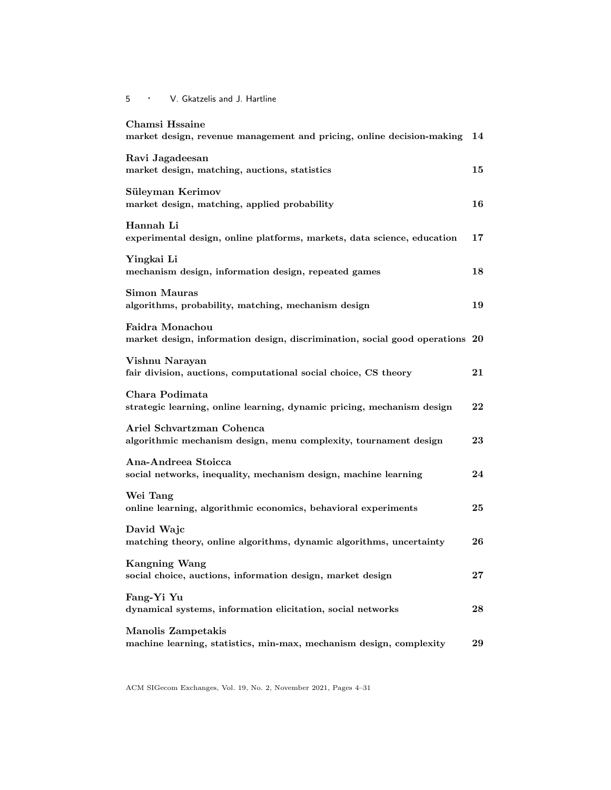| Chamsi Hssaine<br>market design, revenue management and pricing, online decision-making         | 14        |
|-------------------------------------------------------------------------------------------------|-----------|
| Ravi Jagadeesan<br>market design, matching, auctions, statistics                                | 15        |
| Süleyman Kerimov<br>market design, matching, applied probability                                | 16        |
| Hannah Li<br>experimental design, online platforms, markets, data science, education            | 17        |
| Yingkai Li<br>mechanism design, information design, repeated games                              | 18        |
| <b>Simon Mauras</b><br>algorithms, probability, matching, mechanism design                      | 19        |
| Faidra Monachou<br>market design, information design, discrimination, social good operations 20 |           |
| Vishnu Narayan<br>fair division, auctions, computational social choice, CS theory               | 21        |
| Chara Podimata<br>strategic learning, online learning, dynamic pricing, mechanism design        | 22        |
| Ariel Schvartzman Cohenca<br>algorithmic mechanism design, menu complexity, tournament design   | 23        |
| Ana-Andreea Stoicca<br>social networks, inequality, mechanism design, machine learning          | 24        |
| Wei Tang<br>online learning, algorithmic economics, behavioral experiments                      | 25        |
| David Wajc<br>matching theory, online algorithms, dynamic algorithms, uncertainty               | 26        |
| <b>Kangning Wang</b><br>social choice, auctions, information design, market design              | $\bf{27}$ |
| Fang-Yi Yu<br>dynamical systems, information elicitation, social networks                       | 28        |
| Manolis Zampetakis<br>machine learning, statistics, min-max, mechanism design, complexity       | 29        |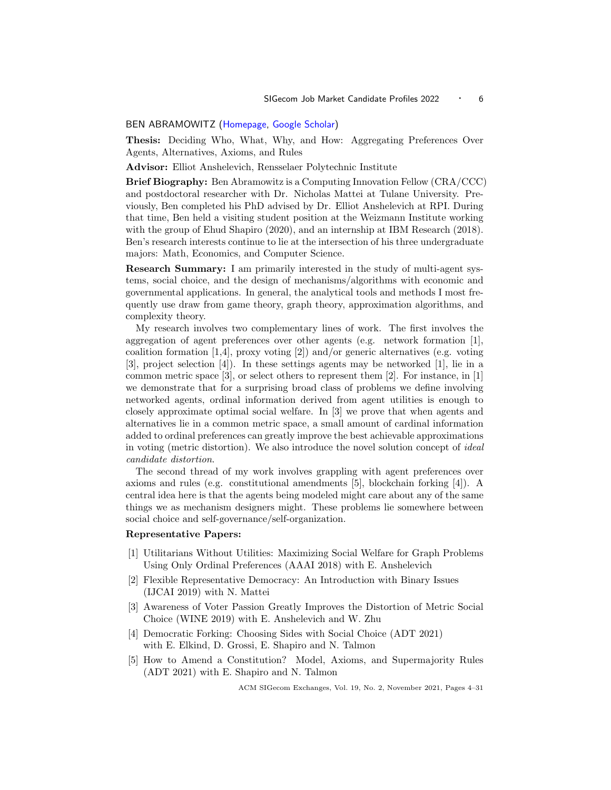## <span id="page-2-1"></span><span id="page-2-0"></span>BEN ABRAMOWITZ [\(Homepage,](https://benabramowitz.github.io/) [Google Scholar\)](https://scholar.google.com/citations?user=emcdTmcAAAAJ&hl=en&oi=ao)

Thesis: Deciding Who, What, Why, and How: Aggregating Preferences Over Agents, Alternatives, Axioms, and Rules

Advisor: Elliot Anshelevich, Rensselaer Polytechnic Institute

Brief Biography: Ben Abramowitz is a Computing Innovation Fellow (CRA/CCC) and postdoctoral researcher with Dr. Nicholas Mattei at Tulane University. Previously, Ben completed his PhD advised by Dr. Elliot Anshelevich at RPI. During that time, Ben held a visiting student position at the Weizmann Institute working with the group of Ehud Shapiro (2020), and an internship at IBM Research (2018). Ben's research interests continue to lie at the intersection of his three undergraduate majors: Math, Economics, and Computer Science.

Research Summary: I am primarily interested in the study of multi-agent systems, social choice, and the design of mechanisms/algorithms with economic and governmental applications. In general, the analytical tools and methods I most frequently use draw from game theory, graph theory, approximation algorithms, and complexity theory.

My research involves two complementary lines of work. The first involves the aggregation of agent preferences over other agents (e.g. network formation [1], coalition formation  $[1,4]$ , proxy voting  $[2]$ ) and/or generic alternatives (e.g. voting [3], project selection [4]). In these settings agents may be networked [1], lie in a common metric space [3], or select others to represent them [2]. For instance, in [1] we demonstrate that for a surprising broad class of problems we define involving networked agents, ordinal information derived from agent utilities is enough to closely approximate optimal social welfare. In [3] we prove that when agents and alternatives lie in a common metric space, a small amount of cardinal information added to ordinal preferences can greatly improve the best achievable approximations in voting (metric distortion). We also introduce the novel solution concept of ideal candidate distortion.

The second thread of my work involves grappling with agent preferences over axioms and rules (e.g. constitutional amendments [5], blockchain forking [4]). A central idea here is that the agents being modeled might care about any of the same things we as mechanism designers might. These problems lie somewhere between social choice and self-governance/self-organization.

## Representative Papers:

- [1] Utilitarians Without Utilities: Maximizing Social Welfare for Graph Problems Using Only Ordinal Preferences (AAAI 2018) with E. Anshelevich
- [2] Flexible Representative Democracy: An Introduction with Binary Issues (IJCAI 2019) with N. Mattei
- [3] Awareness of Voter Passion Greatly Improves the Distortion of Metric Social Choice (WINE 2019) with E. Anshelevich and W. Zhu
- [4] Democratic Forking: Choosing Sides with Social Choice (ADT 2021) with E. Elkind, D. Grossi, E. Shapiro and N. Talmon
- [5] How to Amend a Constitution? Model, Axioms, and Supermajority Rules (ADT 2021) with E. Shapiro and N. Talmon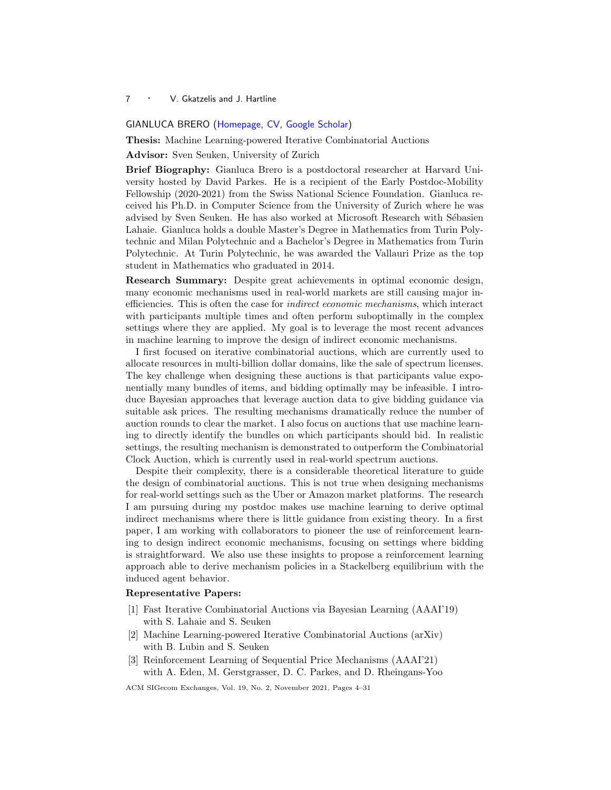#### <span id="page-3-1"></span><span id="page-3-0"></span>GIANLUCA BRERO [\(Homepage,](https://www.gianlucabrero.com/) [CV,](https://drive.google.com/file/d/1tXva7mKTI-I7Em4dY1r7InXAGjPyJgVI/view) [Google Scholar\)](https://scholar.google.com/citations?user=leSx5lIAAAAJ&hl=en&oi=ao)

Thesis: Machine Learning-powered Iterative Combinatorial Auctions

Advisor: Sven Seuken, University of Zurich

Brief Biography: Gianluca Brero is a postdoctoral researcher at Harvard University hosted by David Parkes. He is a recipient of the Early Postdoc-Mobility Fellowship (2020-2021) from the Swiss National Science Foundation. Gianluca received his Ph.D. in Computer Science from the University of Zurich where he was advised by Sven Seuken. He has also worked at Microsoft Research with Sébasien Lahaie. Gianluca holds a double Master's Degree in Mathematics from Turin Polytechnic and Milan Polytechnic and a Bachelor's Degree in Mathematics from Turin Polytechnic. At Turin Polytechnic, he was awarded the Vallauri Prize as the top student in Mathematics who graduated in 2014.

Research Summary: Despite great achievements in optimal economic design, many economic mechanisms used in real-world markets are still causing major inefficiencies. This is often the case for indirect economic mechanisms, which interact with participants multiple times and often perform suboptimally in the complex settings where they are applied. My goal is to leverage the most recent advances in machine learning to improve the design of indirect economic mechanisms.

I first focused on iterative combinatorial auctions, which are currently used to allocate resources in multi-billion dollar domains, like the sale of spectrum licenses. The key challenge when designing these auctions is that participants value exponentially many bundles of items, and bidding optimally may be infeasible. I introduce Bayesian approaches that leverage auction data to give bidding guidance via suitable ask prices. The resulting mechanisms dramatically reduce the number of auction rounds to clear the market. I also focus on auctions that use machine learning to directly identify the bundles on which participants should bid. In realistic settings, the resulting mechanism is demonstrated to outperform the Combinatorial Clock Auction, which is currently used in real-world spectrum auctions.

Despite their complexity, there is a considerable theoretical literature to guide the design of combinatorial auctions. This is not true when designing mechanisms for real-world settings such as the Uber or Amazon market platforms. The research I am pursuing during my postdoc makes use machine learning to derive optimal indirect mechanisms where there is little guidance from existing theory. In a first paper, I am working with collaborators to pioneer the use of reinforcement learning to design indirect economic mechanisms, focusing on settings where bidding is straightforward. We also use these insights to propose a reinforcement learning approach able to derive mechanism policies in a Stackelberg equilibrium with the induced agent behavior.

## Representative Papers:

- [1] Fast Iterative Combinatorial Auctions via Bayesian Learning (AAAI'19) with S. Lahaie and S. Seuken
- [2] Machine Learning-powered Iterative Combinatorial Auctions (arXiv) with B. Lubin and S. Seuken
- [3] Reinforcement Learning of Sequential Price Mechanisms (AAAI'21) with A. Eden, M. Gerstgrasser, D. C. Parkes, and D. Rheingans-Yoo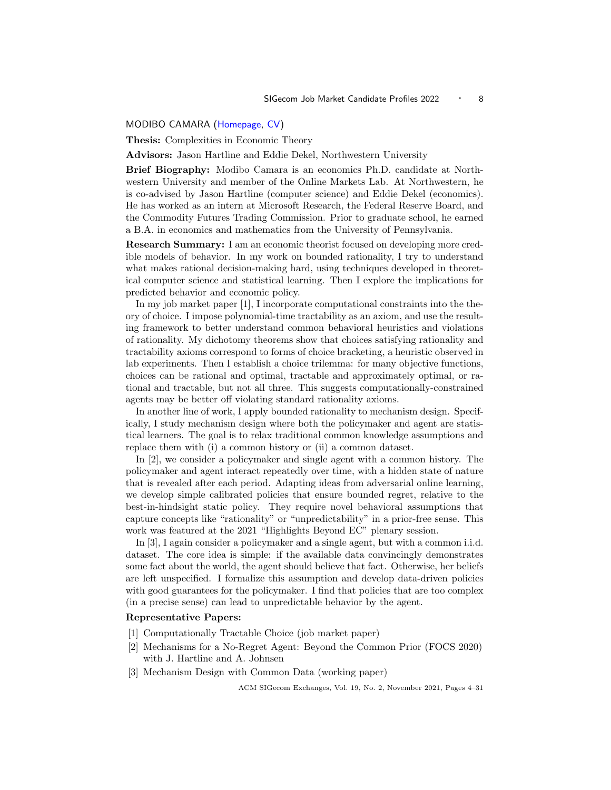## <span id="page-4-1"></span><span id="page-4-0"></span>MODIBO CAMARA [\(Homepage,](https://mkcamara.github.io/) [CV\)](https://mkcamara.github.io/CV_Modibo_Camara.pdf)

Thesis: Complexities in Economic Theory

Advisors: Jason Hartline and Eddie Dekel, Northwestern University

Brief Biography: Modibo Camara is an economics Ph.D. candidate at Northwestern University and member of the Online Markets Lab. At Northwestern, he is co-advised by Jason Hartline (computer science) and Eddie Dekel (economics). He has worked as an intern at Microsoft Research, the Federal Reserve Board, and the Commodity Futures Trading Commission. Prior to graduate school, he earned a B.A. in economics and mathematics from the University of Pennsylvania.

Research Summary: I am an economic theorist focused on developing more credible models of behavior. In my work on bounded rationality, I try to understand what makes rational decision-making hard, using techniques developed in theoretical computer science and statistical learning. Then I explore the implications for predicted behavior and economic policy.

In my job market paper [1], I incorporate computational constraints into the theory of choice. I impose polynomial-time tractability as an axiom, and use the resulting framework to better understand common behavioral heuristics and violations of rationality. My dichotomy theorems show that choices satisfying rationality and tractability axioms correspond to forms of choice bracketing, a heuristic observed in lab experiments. Then I establish a choice trilemma: for many objective functions, choices can be rational and optimal, tractable and approximately optimal, or rational and tractable, but not all three. This suggests computationally-constrained agents may be better off violating standard rationality axioms.

In another line of work, I apply bounded rationality to mechanism design. Specifically, I study mechanism design where both the policymaker and agent are statistical learners. The goal is to relax traditional common knowledge assumptions and replace them with (i) a common history or (ii) a common dataset.

In [2], we consider a policymaker and single agent with a common history. The policymaker and agent interact repeatedly over time, with a hidden state of nature that is revealed after each period. Adapting ideas from adversarial online learning, we develop simple calibrated policies that ensure bounded regret, relative to the best-in-hindsight static policy. They require novel behavioral assumptions that capture concepts like "rationality" or "unpredictability" in a prior-free sense. This work was featured at the 2021 "Highlights Beyond EC" plenary session.

In [3], I again consider a policymaker and a single agent, but with a common i.i.d. dataset. The core idea is simple: if the available data convincingly demonstrates some fact about the world, the agent should believe that fact. Otherwise, her beliefs are left unspecified. I formalize this assumption and develop data-driven policies with good guarantees for the policymaker. I find that policies that are too complex (in a precise sense) can lead to unpredictable behavior by the agent.

#### Representative Papers:

- [1] Computationally Tractable Choice (job market paper)
- [2] Mechanisms for a No-Regret Agent: Beyond the Common Prior (FOCS 2020) with J. Hartline and A. Johnsen
- [3] Mechanism Design with Common Data (working paper)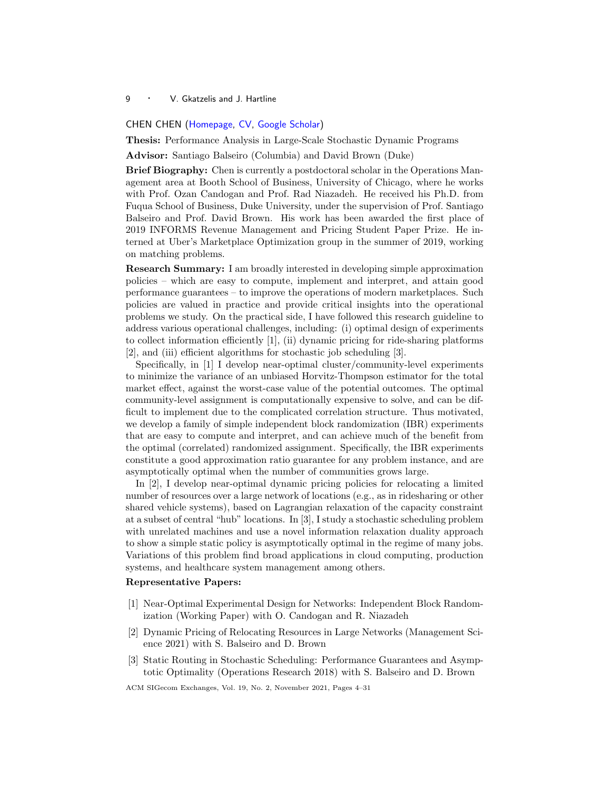#### <span id="page-5-1"></span><span id="page-5-0"></span>CHEN CHEN [\(Homepage,](https://cc459.github.io/) [CV,](https://cc459.github.io/Resume_Chen.pdf) [Google Scholar\)](https://scholar.google.com/citations?user=Z9eyuBkAAAAJ&hl=en)

Thesis: Performance Analysis in Large-Scale Stochastic Dynamic Programs

Advisor: Santiago Balseiro (Columbia) and David Brown (Duke)

Brief Biography: Chen is currently a postdoctoral scholar in the Operations Management area at Booth School of Business, University of Chicago, where he works with Prof. Ozan Candogan and Prof. Rad Niazadeh. He received his Ph.D. from Fuqua School of Business, Duke University, under the supervision of Prof. Santiago Balseiro and Prof. David Brown. His work has been awarded the first place of 2019 INFORMS Revenue Management and Pricing Student Paper Prize. He interned at Uber's Marketplace Optimization group in the summer of 2019, working on matching problems.

Research Summary: I am broadly interested in developing simple approximation policies – which are easy to compute, implement and interpret, and attain good performance guarantees – to improve the operations of modern marketplaces. Such policies are valued in practice and provide critical insights into the operational problems we study. On the practical side, I have followed this research guideline to address various operational challenges, including: (i) optimal design of experiments to collect information efficiently [1], (ii) dynamic pricing for ride-sharing platforms [2], and (iii) efficient algorithms for stochastic job scheduling [3].

Specifically, in [1] I develop near-optimal cluster/community-level experiments to minimize the variance of an unbiased Horvitz-Thompson estimator for the total market effect, against the worst-case value of the potential outcomes. The optimal community-level assignment is computationally expensive to solve, and can be difficult to implement due to the complicated correlation structure. Thus motivated, we develop a family of simple independent block randomization (IBR) experiments that are easy to compute and interpret, and can achieve much of the benefit from the optimal (correlated) randomized assignment. Specifically, the IBR experiments constitute a good approximation ratio guarantee for any problem instance, and are asymptotically optimal when the number of communities grows large.

In [2], I develop near-optimal dynamic pricing policies for relocating a limited number of resources over a large network of locations (e.g., as in ridesharing or other shared vehicle systems), based on Lagrangian relaxation of the capacity constraint at a subset of central "hub" locations. In [3], I study a stochastic scheduling problem with unrelated machines and use a novel information relaxation duality approach to show a simple static policy is asymptotically optimal in the regime of many jobs. Variations of this problem find broad applications in cloud computing, production systems, and healthcare system management among others.

## Representative Papers:

- [1] Near-Optimal Experimental Design for Networks: Independent Block Randomization (Working Paper) with O. Candogan and R. Niazadeh
- [2] Dynamic Pricing of Relocating Resources in Large Networks (Management Science 2021) with S. Balseiro and D. Brown
- [3] Static Routing in Stochastic Scheduling: Performance Guarantees and Asymptotic Optimality (Operations Research 2018) with S. Balseiro and D. Brown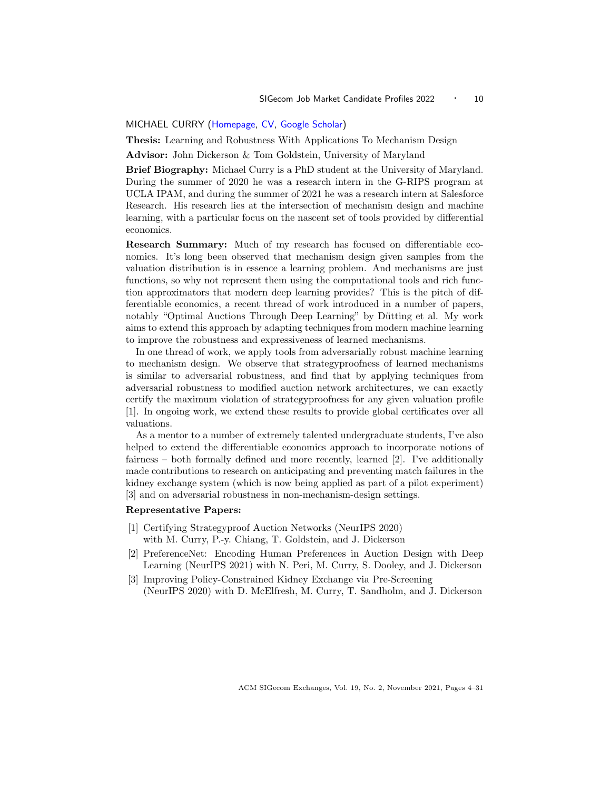## <span id="page-6-1"></span><span id="page-6-0"></span>MICHAEL CURRY [\(Homepage,](http://www.cs.umd.edu/~curry) [CV,](http://www.cs.umd.edu/~curry/mcurry_cv_2021.pdf) [Google Scholar\)](https://scholar.google.com/citations?user=1snYViMAAAAJ&hl=en&oi=ao)

Thesis: Learning and Robustness With Applications To Mechanism Design

Advisor: John Dickerson & Tom Goldstein, University of Maryland

Brief Biography: Michael Curry is a PhD student at the University of Maryland. During the summer of 2020 he was a research intern in the G-RIPS program at UCLA IPAM, and during the summer of 2021 he was a research intern at Salesforce Research. His research lies at the intersection of mechanism design and machine learning, with a particular focus on the nascent set of tools provided by differential economics.

Research Summary: Much of my research has focused on differentiable economics. It's long been observed that mechanism design given samples from the valuation distribution is in essence a learning problem. And mechanisms are just functions, so why not represent them using the computational tools and rich function approximators that modern deep learning provides? This is the pitch of differentiable economics, a recent thread of work introduced in a number of papers, notably "Optimal Auctions Through Deep Learning" by Dütting et al. My work aims to extend this approach by adapting techniques from modern machine learning to improve the robustness and expressiveness of learned mechanisms.

In one thread of work, we apply tools from adversarially robust machine learning to mechanism design. We observe that strategyproofness of learned mechanisms is similar to adversarial robustness, and find that by applying techniques from adversarial robustness to modified auction network architectures, we can exactly certify the maximum violation of strategyproofness for any given valuation profile [1]. In ongoing work, we extend these results to provide global certificates over all valuations.

As a mentor to a number of extremely talented undergraduate students, I've also helped to extend the differentiable economics approach to incorporate notions of fairness – both formally defined and more recently, learned [2]. I've additionally made contributions to research on anticipating and preventing match failures in the kidney exchange system (which is now being applied as part of a pilot experiment) [3] and on adversarial robustness in non-mechanism-design settings.

## Representative Papers:

- [1] Certifying Strategyproof Auction Networks (NeurIPS 2020) with M. Curry, P.-y. Chiang, T. Goldstein, and J. Dickerson
- [2] PreferenceNet: Encoding Human Preferences in Auction Design with Deep Learning (NeurIPS 2021) with N. Peri, M. Curry, S. Dooley, and J. Dickerson
- [3] Improving Policy-Constrained Kidney Exchange via Pre-Screening (NeurIPS 2020) with D. McElfresh, M. Curry, T. Sandholm, and J. Dickerson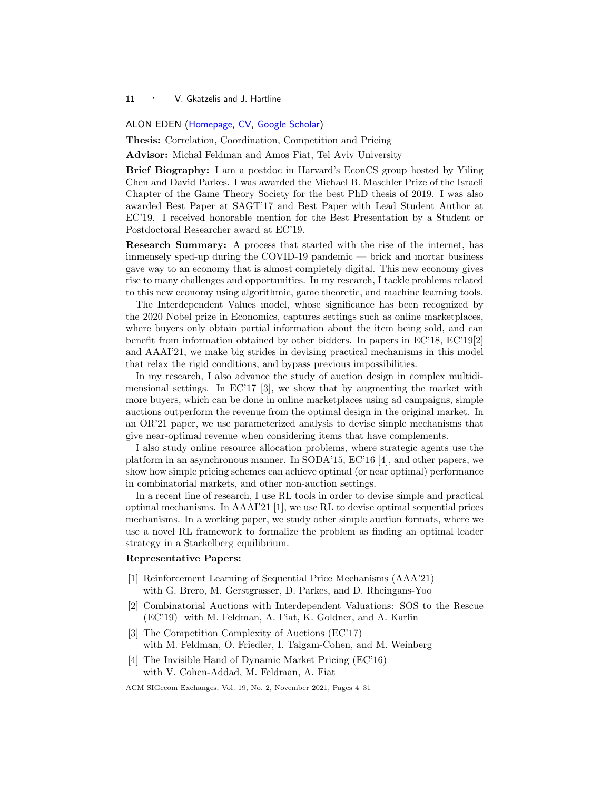#### <span id="page-7-1"></span><span id="page-7-0"></span>ALON EDEN [\(Homepage,](https://aloneden.github.io) [CV,](https://aloneden.github.io/Alon Eden_files/Alon_CV.pdf) [Google Scholar\)](https://scholar.google.com/citations?user=6I6LNdQAAAAJ)

Thesis: Correlation, Coordination, Competition and Pricing

Advisor: Michal Feldman and Amos Fiat, Tel Aviv University

Brief Biography: I am a postdoc in Harvard's EconCS group hosted by Yiling Chen and David Parkes. I was awarded the Michael B. Maschler Prize of the Israeli Chapter of the Game Theory Society for the best PhD thesis of 2019. I was also awarded Best Paper at SAGT'17 and Best Paper with Lead Student Author at EC'19. I received honorable mention for the Best Presentation by a Student or Postdoctoral Researcher award at EC'19.

Research Summary: A process that started with the rise of the internet, has immensely sped-up during the COVID-19 pandemic — brick and mortar business gave way to an economy that is almost completely digital. This new economy gives rise to many challenges and opportunities. In my research, I tackle problems related to this new economy using algorithmic, game theoretic, and machine learning tools.

The Interdependent Values model, whose significance has been recognized by the 2020 Nobel prize in Economics, captures settings such as online marketplaces, where buyers only obtain partial information about the item being sold, and can benefit from information obtained by other bidders. In papers in EC'18, EC'19[2] and AAAI'21, we make big strides in devising practical mechanisms in this model that relax the rigid conditions, and bypass previous impossibilities.

In my research, I also advance the study of auction design in complex multidimensional settings. In  $EC'17$  [3], we show that by augmenting the market with more buyers, which can be done in online marketplaces using ad campaigns, simple auctions outperform the revenue from the optimal design in the original market. In an OR'21 paper, we use parameterized analysis to devise simple mechanisms that give near-optimal revenue when considering items that have complements.

I also study online resource allocation problems, where strategic agents use the platform in an asynchronous manner. In SODA'15, EC'16 [4], and other papers, we show how simple pricing schemes can achieve optimal (or near optimal) performance in combinatorial markets, and other non-auction settings.

In a recent line of research, I use RL tools in order to devise simple and practical optimal mechanisms. In  $A A A$ <sup>[2]</sup> [1], we use RL to devise optimal sequential prices mechanisms. In a working paper, we study other simple auction formats, where we use a novel RL framework to formalize the problem as finding an optimal leader strategy in a Stackelberg equilibrium.

#### Representative Papers:

- [1] Reinforcement Learning of Sequential Price Mechanisms (AAA'21) with G. Brero, M. Gerstgrasser, D. Parkes, and D. Rheingans-Yoo
- [2] Combinatorial Auctions with Interdependent Valuations: SOS to the Rescue (EC'19) with M. Feldman, A. Fiat, K. Goldner, and A. Karlin
- [3] The Competition Complexity of Auctions (EC'17) with M. Feldman, O. Friedler, I. Talgam-Cohen, and M. Weinberg
- [4] The Invisible Hand of Dynamic Market Pricing (EC'16) with V. Cohen-Addad, M. Feldman, A. Fiat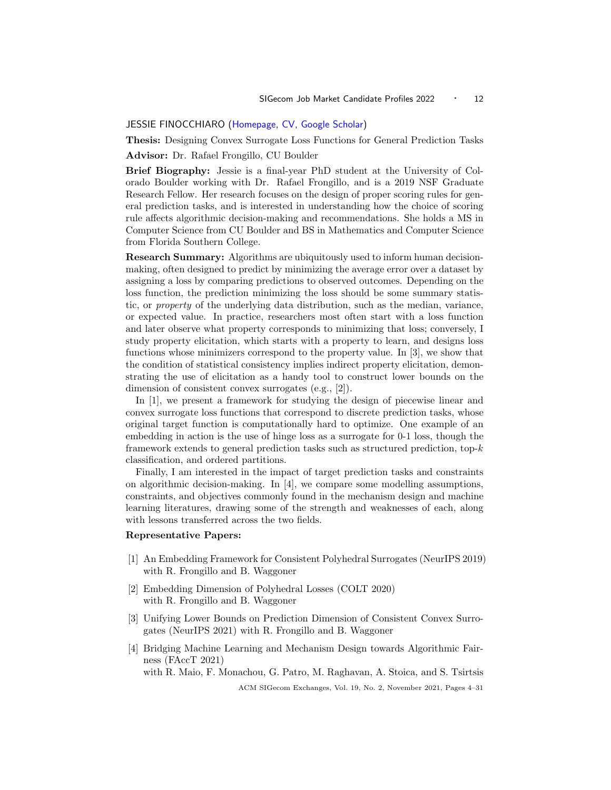## <span id="page-8-1"></span><span id="page-8-0"></span>JESSIE FINOCCHIARO [\(Homepage,](https://jfinocchiaro.github.io) [CV,](https://jfinocchiaro.github.io/files/finocchiaro-cv.pdf) [Google Scholar\)](https://scholar.google.com/citations?user=gM8Ls7MAAAAJ&hl=en&oi=ao)

Thesis: Designing Convex Surrogate Loss Functions for General Prediction Tasks

Advisor: Dr. Rafael Frongillo, CU Boulder

Brief Biography: Jessie is a final-year PhD student at the University of Colorado Boulder working with Dr. Rafael Frongillo, and is a 2019 NSF Graduate Research Fellow. Her research focuses on the design of proper scoring rules for general prediction tasks, and is interested in understanding how the choice of scoring rule affects algorithmic decision-making and recommendations. She holds a MS in Computer Science from CU Boulder and BS in Mathematics and Computer Science from Florida Southern College.

Research Summary: Algorithms are ubiquitously used to inform human decisionmaking, often designed to predict by minimizing the average error over a dataset by assigning a loss by comparing predictions to observed outcomes. Depending on the loss function, the prediction minimizing the loss should be some summary statistic, or property of the underlying data distribution, such as the median, variance, or expected value. In practice, researchers most often start with a loss function and later observe what property corresponds to minimizing that loss; conversely, I study property elicitation, which starts with a property to learn, and designs loss functions whose minimizers correspond to the property value. In [3], we show that the condition of statistical consistency implies indirect property elicitation, demonstrating the use of elicitation as a handy tool to construct lower bounds on the dimension of consistent convex surrogates (e.g., [2]).

In [1], we present a framework for studying the design of piecewise linear and convex surrogate loss functions that correspond to discrete prediction tasks, whose original target function is computationally hard to optimize. One example of an embedding in action is the use of hinge loss as a surrogate for 0-1 loss, though the framework extends to general prediction tasks such as structured prediction, top- $k$ classification, and ordered partitions.

Finally, I am interested in the impact of target prediction tasks and constraints on algorithmic decision-making. In  $[4]$ , we compare some modelling assumptions, constraints, and objectives commonly found in the mechanism design and machine learning literatures, drawing some of the strength and weaknesses of each, along with lessons transferred across the two fields.

#### Representative Papers:

- [1] An Embedding Framework for Consistent Polyhedral Surrogates (NeurIPS 2019) with R. Frongillo and B. Waggoner
- [2] Embedding Dimension of Polyhedral Losses (COLT 2020) with R. Frongillo and B. Waggoner
- [3] Unifying Lower Bounds on Prediction Dimension of Consistent Convex Surrogates (NeurIPS 2021) with R. Frongillo and B. Waggoner
- [4] Bridging Machine Learning and Mechanism Design towards Algorithmic Fairness (FAccT 2021)

with R. Maio, F. Monachou, G. Patro, M. Raghavan, A. Stoica, and S. Tsirtsis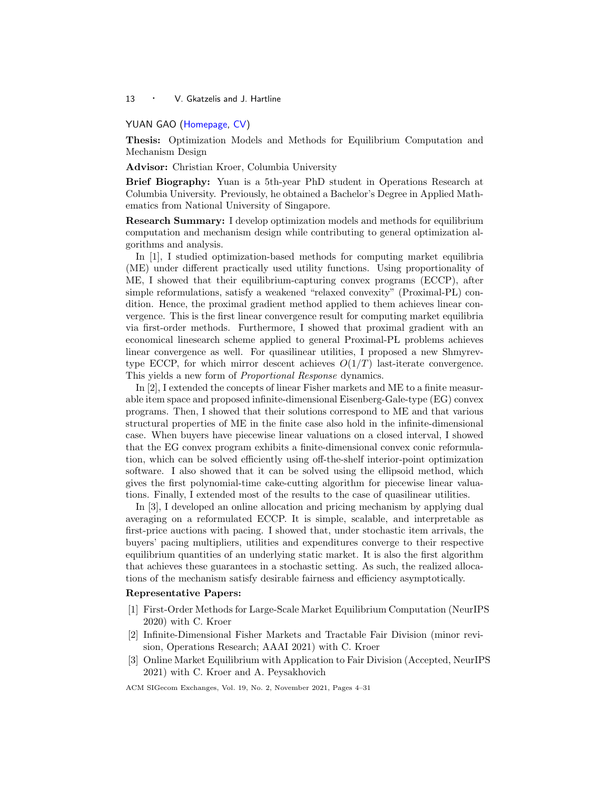## <span id="page-9-1"></span><span id="page-9-0"></span>YUAN GAO [\(Homepage,](https://gaoyuancolumbia.weebly.com/) [CV\)](https://drive.google.com/file/d/1-Nn5aR7HI2_r17CGzqStrtSnCAxUQVCE/view?usp=sharing)

Thesis: Optimization Models and Methods for Equilibrium Computation and Mechanism Design

Advisor: Christian Kroer, Columbia University

Brief Biography: Yuan is a 5th-year PhD student in Operations Research at Columbia University. Previously, he obtained a Bachelor's Degree in Applied Mathematics from National University of Singapore.

Research Summary: I develop optimization models and methods for equilibrium computation and mechanism design while contributing to general optimization algorithms and analysis.

In [1], I studied optimization-based methods for computing market equilibria (ME) under different practically used utility functions. Using proportionality of ME, I showed that their equilibrium-capturing convex programs (ECCP), after simple reformulations, satisfy a weakened "relaxed convexity" (Proximal-PL) condition. Hence, the proximal gradient method applied to them achieves linear convergence. This is the first linear convergence result for computing market equilibria via first-order methods. Furthermore, I showed that proximal gradient with an economical linesearch scheme applied to general Proximal-PL problems achieves linear convergence as well. For quasilinear utilities, I proposed a new Shmyrevtype ECCP, for which mirror descent achieves  $O(1/T)$  last-iterate convergence. This yields a new form of Proportional Response dynamics.

In [2], I extended the concepts of linear Fisher markets and ME to a finite measurable item space and proposed infinite-dimensional Eisenberg-Gale-type (EG) convex programs. Then, I showed that their solutions correspond to ME and that various structural properties of ME in the finite case also hold in the infinite-dimensional case. When buyers have piecewise linear valuations on a closed interval, I showed that the EG convex program exhibits a finite-dimensional convex conic reformulation, which can be solved efficiently using off-the-shelf interior-point optimization software. I also showed that it can be solved using the ellipsoid method, which gives the first polynomial-time cake-cutting algorithm for piecewise linear valuations. Finally, I extended most of the results to the case of quasilinear utilities.

In [3], I developed an online allocation and pricing mechanism by applying dual averaging on a reformulated ECCP. It is simple, scalable, and interpretable as first-price auctions with pacing. I showed that, under stochastic item arrivals, the buyers' pacing multipliers, utilities and expenditures converge to their respective equilibrium quantities of an underlying static market. It is also the first algorithm that achieves these guarantees in a stochastic setting. As such, the realized allocations of the mechanism satisfy desirable fairness and efficiency asymptotically.

## Representative Papers:

- [1] First-Order Methods for Large-Scale Market Equilibrium Computation (NeurIPS 2020) with C. Kroer
- [2] Infinite-Dimensional Fisher Markets and Tractable Fair Division (minor revision, Operations Research; AAAI 2021) with C. Kroer
- [3] Online Market Equilibrium with Application to Fair Division (Accepted, NeurIPS 2021) with C. Kroer and A. Peysakhovich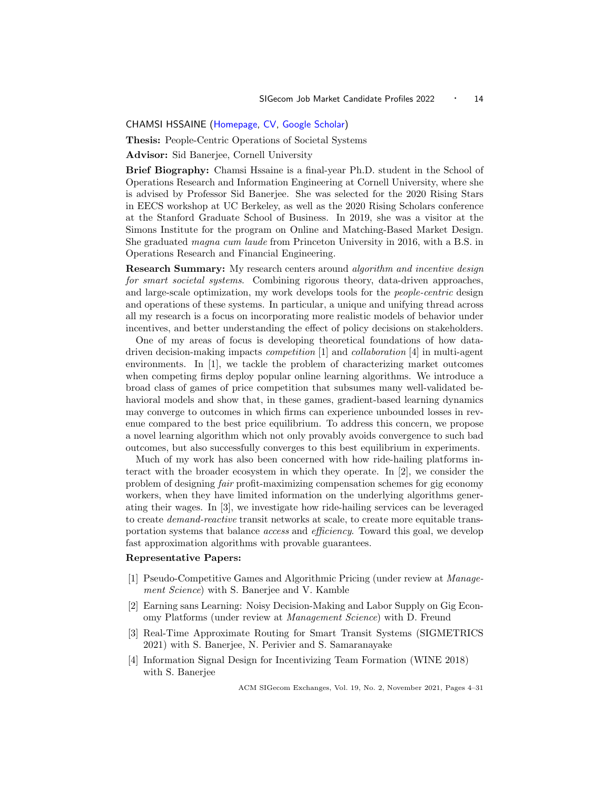## <span id="page-10-1"></span><span id="page-10-0"></span>CHAMSI HSSAINE [\(Homepage,](chamsihssaine.github.io) [CV,](https://chamsihssaine.github.io/files/cv.pdf) [Google Scholar\)](https://scholar.google.com/citations?user=6jflCfgAAAAJ&hl=en&oi=ao)

Thesis: People-Centric Operations of Societal Systems

Advisor: Sid Banerjee, Cornell University

Brief Biography: Chamsi Hssaine is a final-year Ph.D. student in the School of Operations Research and Information Engineering at Cornell University, where she is advised by Professor Sid Banerjee. She was selected for the 2020 Rising Stars in EECS workshop at UC Berkeley, as well as the 2020 Rising Scholars conference at the Stanford Graduate School of Business. In 2019, she was a visitor at the Simons Institute for the program on Online and Matching-Based Market Design. She graduated magna cum laude from Princeton University in 2016, with a B.S. in Operations Research and Financial Engineering.

Research Summary: My research centers around *algorithm and incentive design* for smart societal systems. Combining rigorous theory, data-driven approaches, and large-scale optimization, my work develops tools for the *people-centric* design and operations of these systems. In particular, a unique and unifying thread across all my research is a focus on incorporating more realistic models of behavior under incentives, and better understanding the effect of policy decisions on stakeholders.

One of my areas of focus is developing theoretical foundations of how datadriven decision-making impacts competition [1] and collaboration [4] in multi-agent environments. In [1], we tackle the problem of characterizing market outcomes when competing firms deploy popular online learning algorithms. We introduce a broad class of games of price competition that subsumes many well-validated behavioral models and show that, in these games, gradient-based learning dynamics may converge to outcomes in which firms can experience unbounded losses in revenue compared to the best price equilibrium. To address this concern, we propose a novel learning algorithm which not only provably avoids convergence to such bad outcomes, but also successfully converges to this best equilibrium in experiments.

Much of my work has also been concerned with how ride-hailing platforms interact with the broader ecosystem in which they operate. In [2], we consider the problem of designing fair profit-maximizing compensation schemes for gig economy workers, when they have limited information on the underlying algorithms generating their wages. In [3], we investigate how ride-hailing services can be leveraged to create demand-reactive transit networks at scale, to create more equitable transportation systems that balance *access* and *efficiency*. Toward this goal, we develop fast approximation algorithms with provable guarantees.

#### Representative Papers:

- [1] Pseudo-Competitive Games and Algorithmic Pricing (under review at Management Science) with S. Banerjee and V. Kamble
- [2] Earning sans Learning: Noisy Decision-Making and Labor Supply on Gig Economy Platforms (under review at Management Science) with D. Freund
- [3] Real-Time Approximate Routing for Smart Transit Systems (SIGMETRICS 2021) with S. Banerjee, N. Perivier and S. Samaranayake
- [4] Information Signal Design for Incentivizing Team Formation (WINE 2018) with S. Banerjee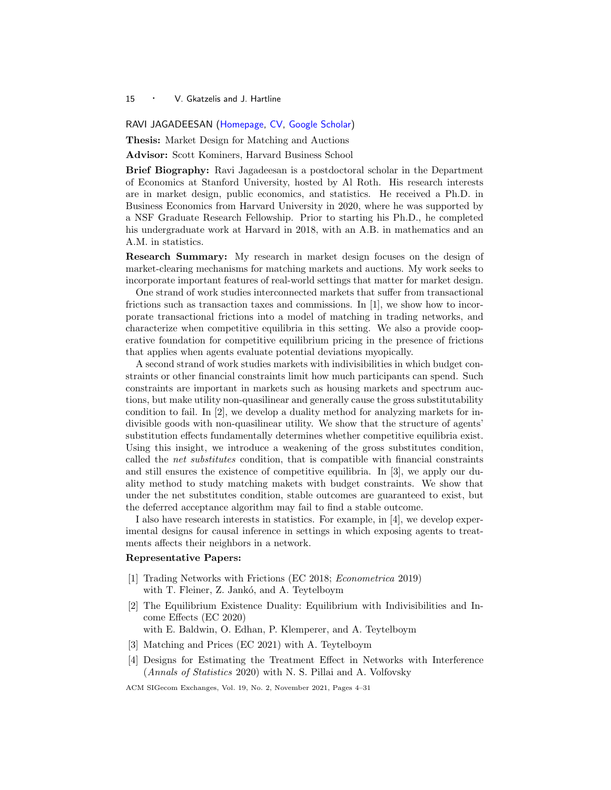<span id="page-11-1"></span><span id="page-11-0"></span>RAVI JAGADEESAN [\(Homepage,](https://www.sites.google.com/site/ravijagadeesan/) [CV,](https://drive.google.com/file/d/1RC-4cG3xUfvBF2r8GQUGh5ODK-34nwIt/view?usp=sharing) [Google Scholar\)](https://scholar.google.com/citations?user=8Eh-a94AAAAJ&hl=en&oi=ao)

Thesis: Market Design for Matching and Auctions

Advisor: Scott Kominers, Harvard Business School

Brief Biography: Ravi Jagadeesan is a postdoctoral scholar in the Department of Economics at Stanford University, hosted by Al Roth. His research interests are in market design, public economics, and statistics. He received a Ph.D. in Business Economics from Harvard University in 2020, where he was supported by a NSF Graduate Research Fellowship. Prior to starting his Ph.D., he completed his undergraduate work at Harvard in 2018, with an A.B. in mathematics and an A.M. in statistics.

Research Summary: My research in market design focuses on the design of market-clearing mechanisms for matching markets and auctions. My work seeks to incorporate important features of real-world settings that matter for market design.

One strand of work studies interconnected markets that suffer from transactional frictions such as transaction taxes and commissions. In [1], we show how to incorporate transactional frictions into a model of matching in trading networks, and characterize when competitive equilibria in this setting. We also a provide cooperative foundation for competitive equilibrium pricing in the presence of frictions that applies when agents evaluate potential deviations myopically.

A second strand of work studies markets with indivisibilities in which budget constraints or other financial constraints limit how much participants can spend. Such constraints are important in markets such as housing markets and spectrum auctions, but make utility non-quasilinear and generally cause the gross substitutability condition to fail. In [2], we develop a duality method for analyzing markets for indivisible goods with non-quasilinear utility. We show that the structure of agents' substitution effects fundamentally determines whether competitive equilibria exist. Using this insight, we introduce a weakening of the gross substitutes condition, called the net substitutes condition, that is compatible with financial constraints and still ensures the existence of competitive equilibria. In [3], we apply our duality method to study matching makets with budget constraints. We show that under the net substitutes condition, stable outcomes are guaranteed to exist, but the deferred acceptance algorithm may fail to find a stable outcome.

I also have research interests in statistics. For example, in [4], we develop experimental designs for causal inference in settings in which exposing agents to treatments affects their neighbors in a network.

## Representative Papers:

- [1] Trading Networks with Frictions (EC 2018; Econometrica 2019) with T. Fleiner, Z. Jankó, and A. Teytelboym
- [2] The Equilibrium Existence Duality: Equilibrium with Indivisibilities and Income Effects (EC 2020)
- with E. Baldwin, O. Edhan, P. Klemperer, and A. Teytelboym
- [3] Matching and Prices (EC 2021) with A. Teytelboym
- [4] Designs for Estimating the Treatment Effect in Networks with Interference (Annals of Statistics 2020) with N. S. Pillai and A. Volfovsky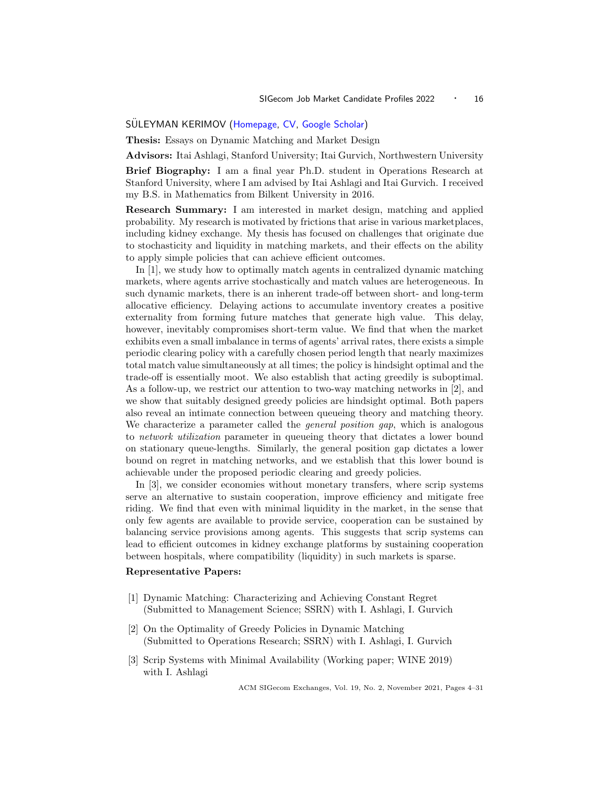## <span id="page-12-1"></span><span id="page-12-0"></span>SULEYMAN KERIMOV ([Homepage,](http://web.stanford.edu/~kerimov/) [CV,](http://web.stanford.edu/~kerimov/resume.pdf) [Google Scholar\)](https://scholar.google.com/citations?hl=tr&user=Cn9z_oIAAAAJ)

Thesis: Essays on Dynamic Matching and Market Design

Advisors: Itai Ashlagi, Stanford University; Itai Gurvich, Northwestern University

Brief Biography: I am a final year Ph.D. student in Operations Research at Stanford University, where I am advised by Itai Ashlagi and Itai Gurvich. I received my B.S. in Mathematics from Bilkent University in 2016.

Research Summary: I am interested in market design, matching and applied probability. My research is motivated by frictions that arise in various marketplaces, including kidney exchange. My thesis has focused on challenges that originate due to stochasticity and liquidity in matching markets, and their effects on the ability to apply simple policies that can achieve efficient outcomes.

In [1], we study how to optimally match agents in centralized dynamic matching markets, where agents arrive stochastically and match values are heterogeneous. In such dynamic markets, there is an inherent trade-off between short- and long-term allocative efficiency. Delaying actions to accumulate inventory creates a positive externality from forming future matches that generate high value. This delay, however, inevitably compromises short-term value. We find that when the market exhibits even a small imbalance in terms of agents' arrival rates, there exists a simple periodic clearing policy with a carefully chosen period length that nearly maximizes total match value simultaneously at all times; the policy is hindsight optimal and the trade-off is essentially moot. We also establish that acting greedily is suboptimal. As a follow-up, we restrict our attention to two-way matching networks in [2], and we show that suitably designed greedy policies are hindsight optimal. Both papers also reveal an intimate connection between queueing theory and matching theory. We characterize a parameter called the *general position gap*, which is analogous to network utilization parameter in queueing theory that dictates a lower bound on stationary queue-lengths. Similarly, the general position gap dictates a lower bound on regret in matching networks, and we establish that this lower bound is achievable under the proposed periodic clearing and greedy policies.

In [3], we consider economies without monetary transfers, where scrip systems serve an alternative to sustain cooperation, improve efficiency and mitigate free riding. We find that even with minimal liquidity in the market, in the sense that only few agents are available to provide service, cooperation can be sustained by balancing service provisions among agents. This suggests that scrip systems can lead to efficient outcomes in kidney exchange platforms by sustaining cooperation between hospitals, where compatibility (liquidity) in such markets is sparse.

#### Representative Papers:

- [1] Dynamic Matching: Characterizing and Achieving Constant Regret (Submitted to Management Science; SSRN) with I. Ashlagi, I. Gurvich
- [2] On the Optimality of Greedy Policies in Dynamic Matching (Submitted to Operations Research; SSRN) with I. Ashlagi, I. Gurvich
- [3] Scrip Systems with Minimal Availability (Working paper; WINE 2019) with I. Ashlagi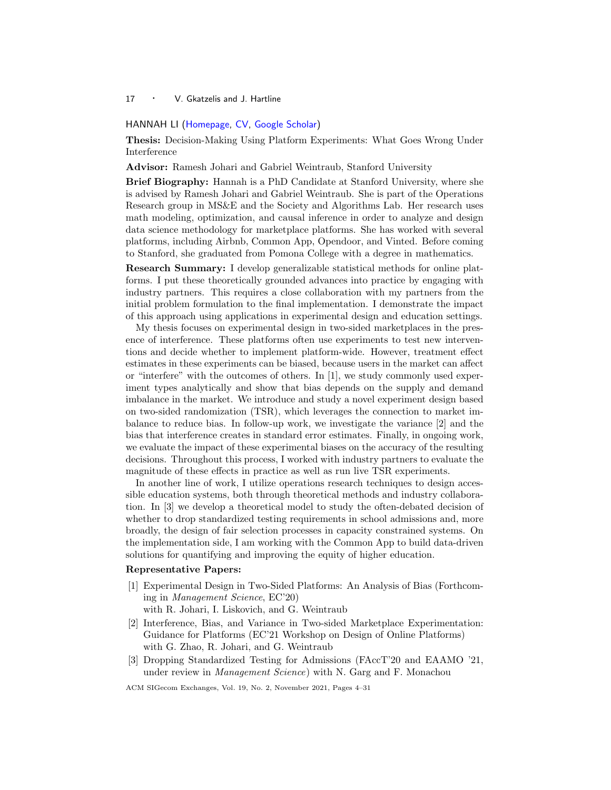## <span id="page-13-1"></span><span id="page-13-0"></span>HANNAH LI [\(Homepage,](https://hannahql.github.io/) [CV,](https://hannahql.github.io/files/Li_Hannah_CV.pdf) [Google Scholar\)](https://scholar.google.com/citations?user=2jwEX7QAAAAJ&hl=en)

Thesis: Decision-Making Using Platform Experiments: What Goes Wrong Under Interference

Advisor: Ramesh Johari and Gabriel Weintraub, Stanford University

Brief Biography: Hannah is a PhD Candidate at Stanford University, where she is advised by Ramesh Johari and Gabriel Weintraub. She is part of the Operations Research group in MS&E and the Society and Algorithms Lab. Her research uses math modeling, optimization, and causal inference in order to analyze and design data science methodology for marketplace platforms. She has worked with several platforms, including Airbnb, Common App, Opendoor, and Vinted. Before coming to Stanford, she graduated from Pomona College with a degree in mathematics.

Research Summary: I develop generalizable statistical methods for online platforms. I put these theoretically grounded advances into practice by engaging with industry partners. This requires a close collaboration with my partners from the initial problem formulation to the final implementation. I demonstrate the impact of this approach using applications in experimental design and education settings.

My thesis focuses on experimental design in two-sided marketplaces in the presence of interference. These platforms often use experiments to test new interventions and decide whether to implement platform-wide. However, treatment effect estimates in these experiments can be biased, because users in the market can affect or "interfere" with the outcomes of others. In [1], we study commonly used experiment types analytically and show that bias depends on the supply and demand imbalance in the market. We introduce and study a novel experiment design based on two-sided randomization (TSR), which leverages the connection to market imbalance to reduce bias. In follow-up work, we investigate the variance [2] and the bias that interference creates in standard error estimates. Finally, in ongoing work, we evaluate the impact of these experimental biases on the accuracy of the resulting decisions. Throughout this process, I worked with industry partners to evaluate the magnitude of these effects in practice as well as run live TSR experiments.

In another line of work, I utilize operations research techniques to design accessible education systems, both through theoretical methods and industry collaboration. In [3] we develop a theoretical model to study the often-debated decision of whether to drop standardized testing requirements in school admissions and, more broadly, the design of fair selection processes in capacity constrained systems. On the implementation side, I am working with the Common App to build data-driven solutions for quantifying and improving the equity of higher education.

#### Representative Papers:

- [1] Experimental Design in Two-Sided Platforms: An Analysis of Bias (Forthcoming in Management Science, EC'20)
	- with R. Johari, I. Liskovich, and G. Weintraub
- [2] Interference, Bias, and Variance in Two-sided Marketplace Experimentation: Guidance for Platforms (EC'21 Workshop on Design of Online Platforms) with G. Zhao, R. Johari, and G. Weintraub
- [3] Dropping Standardized Testing for Admissions (FAccT'20 and EAAMO '21, under review in *Management Science*) with N. Garg and F. Monachou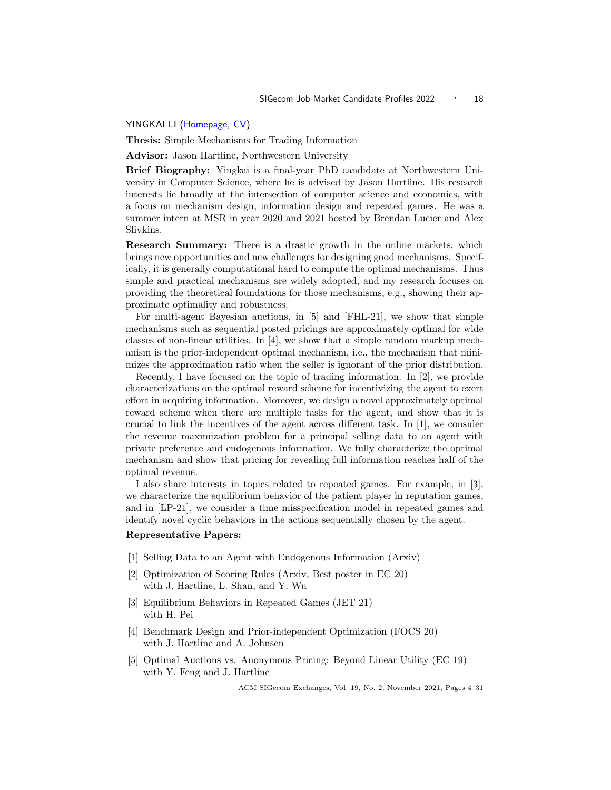#### <span id="page-14-1"></span><span id="page-14-0"></span>YINGKAI LI [\(Homepage,](https://yingkai-li.github.io/homepage/) [CV\)](https://yingkai-li.github.io/homepage/Yingkai_Li_CV.pdf)

Thesis: Simple Mechanisms for Trading Information

Advisor: Jason Hartline, Northwestern University

Brief Biography: Yingkai is a final-year PhD candidate at Northwestern University in Computer Science, where he is advised by Jason Hartline. His research interests lie broadly at the intersection of computer science and economics, with a focus on mechanism design, information design and repeated games. He was a summer intern at MSR in year 2020 and 2021 hosted by Brendan Lucier and Alex Slivkins.

Research Summary: There is a drastic growth in the online markets, which brings new opportunities and new challenges for designing good mechanisms. Specifically, it is generally computational hard to compute the optimal mechanisms. Thus simple and practical mechanisms are widely adopted, and my research focuses on providing the theoretical foundations for those mechanisms, e.g., showing their approximate optimality and robustness.

For multi-agent Bayesian auctions, in [5] and [FHL-21], we show that simple mechanisms such as sequential posted pricings are approximately optimal for wide classes of non-linear utilities. In  $[4]$ , we show that a simple random markup mechanism is the prior-independent optimal mechanism, i.e., the mechanism that minimizes the approximation ratio when the seller is ignorant of the prior distribution.

Recently, I have focused on the topic of trading information. In [2], we provide characterizations on the optimal reward scheme for incentivizing the agent to exert effort in acquiring information. Moreover, we design a novel approximately optimal reward scheme when there are multiple tasks for the agent, and show that it is crucial to link the incentives of the agent across different task. In [1], we consider the revenue maximization problem for a principal selling data to an agent with private preference and endogenous information. We fully characterize the optimal mechanism and show that pricing for revealing full information reaches half of the optimal revenue.

I also share interests in topics related to repeated games. For example, in [3], we characterize the equilibrium behavior of the patient player in reputation games, and in [LP-21], we consider a time misspecification model in repeated games and identify novel cyclic behaviors in the actions sequentially chosen by the agent.

#### Representative Papers:

- [1] Selling Data to an Agent with Endogenous Information (Arxiv)
- [2] Optimization of Scoring Rules (Arxiv, Best poster in EC 20) with J. Hartline, L. Shan, and Y. Wu
- [3] Equilibrium Behaviors in Repeated Games (JET 21) with H. Pei
- [4] Benchmark Design and Prior-independent Optimization (FOCS 20) with J. Hartline and A. Johnsen
- [5] Optimal Auctions vs. Anonymous Pricing: Beyond Linear Utility (EC 19) with Y. Feng and J. Hartline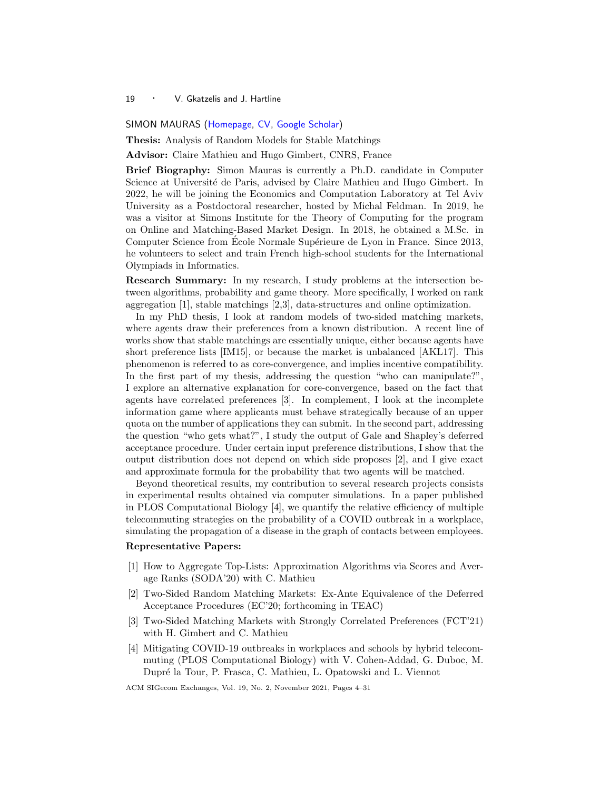#### <span id="page-15-1"></span><span id="page-15-0"></span>SIMON MAURAS [\(Homepage,](https://www.irif.fr/~mauras/) [CV,](http://www.irif.fr/~mauras/cv/cv_en.pdf) [Google Scholar\)](https://scholar.google.com/citations?user=iAq80sEAAAAJ)

Thesis: Analysis of Random Models for Stable Matchings

Advisor: Claire Mathieu and Hugo Gimbert, CNRS, France

Brief Biography: Simon Mauras is currently a Ph.D. candidate in Computer Science at Université de Paris, advised by Claire Mathieu and Hugo Gimbert. In 2022, he will be joining the Economics and Computation Laboratory at Tel Aviv University as a Postdoctoral researcher, hosted by Michal Feldman. In 2019, he was a visitor at Simons Institute for the Theory of Computing for the program on Online and Matching-Based Market Design. In 2018, he obtained a M.Sc. in Computer Science from Ecole Normale Supérieure de Lyon in France. Since 2013, he volunteers to select and train French high-school students for the International Olympiads in Informatics.

Research Summary: In my research, I study problems at the intersection between algorithms, probability and game theory. More specifically, I worked on rank aggregation [1], stable matchings [2,3], data-structures and online optimization.

In my PhD thesis, I look at random models of two-sided matching markets, where agents draw their preferences from a known distribution. A recent line of works show that stable matchings are essentially unique, either because agents have short preference lists [IM15], or because the market is unbalanced [AKL17]. This phenomenon is referred to as core-convergence, and implies incentive compatibility. In the first part of my thesis, addressing the question "who can manipulate?", I explore an alternative explanation for core-convergence, based on the fact that agents have correlated preferences [3]. In complement, I look at the incomplete information game where applicants must behave strategically because of an upper quota on the number of applications they can submit. In the second part, addressing the question "who gets what?", I study the output of Gale and Shapley's deferred acceptance procedure. Under certain input preference distributions, I show that the output distribution does not depend on which side proposes [2], and I give exact and approximate formula for the probability that two agents will be matched.

Beyond theoretical results, my contribution to several research projects consists in experimental results obtained via computer simulations. In a paper published in PLOS Computational Biology  $[4]$ , we quantify the relative efficiency of multiple telecommuting strategies on the probability of a COVID outbreak in a workplace, simulating the propagation of a disease in the graph of contacts between employees.

## Representative Papers:

- [1] How to Aggregate Top-Lists: Approximation Algorithms via Scores and Average Ranks (SODA'20) with C. Mathieu
- [2] Two-Sided Random Matching Markets: Ex-Ante Equivalence of the Deferred Acceptance Procedures (EC'20; forthcoming in TEAC)
- [3] Two-Sided Matching Markets with Strongly Correlated Preferences (FCT'21) with H. Gimbert and C. Mathieu
- [4] Mitigating COVID-19 outbreaks in workplaces and schools by hybrid telecommuting (PLOS Computational Biology) with V. Cohen-Addad, G. Duboc, M. Dupr´e la Tour, P. Frasca, C. Mathieu, L. Opatowski and L. Viennot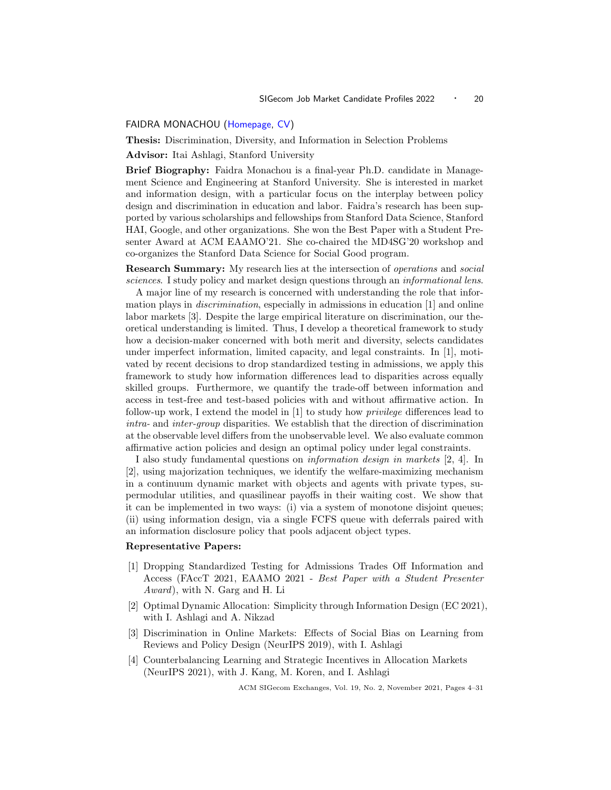## <span id="page-16-1"></span><span id="page-16-0"></span>FAIDRA MONACHOU [\(Homepage,](https://web.stanford.edu/~monachou) [CV\)](https://web.stanford.edu/~monachou/CVFaidraMonachou.pdf)

Thesis: Discrimination, Diversity, and Information in Selection Problems

Advisor: Itai Ashlagi, Stanford University

Brief Biography: Faidra Monachou is a final-year Ph.D. candidate in Management Science and Engineering at Stanford University. She is interested in market and information design, with a particular focus on the interplay between policy design and discrimination in education and labor. Faidra's research has been supported by various scholarships and fellowships from Stanford Data Science, Stanford HAI, Google, and other organizations. She won the Best Paper with a Student Presenter Award at ACM EAAMO'21. She co-chaired the MD4SG'20 workshop and co-organizes the Stanford Data Science for Social Good program.

Research Summary: My research lies at the intersection of operations and social sciences. I study policy and market design questions through an *informational lens*.

A major line of my research is concerned with understanding the role that information plays in discrimination, especially in admissions in education [1] and online labor markets [3]. Despite the large empirical literature on discrimination, our theoretical understanding is limited. Thus, I develop a theoretical framework to study how a decision-maker concerned with both merit and diversity, selects candidates under imperfect information, limited capacity, and legal constraints. In [1], motivated by recent decisions to drop standardized testing in admissions, we apply this framework to study how information differences lead to disparities across equally skilled groups. Furthermore, we quantify the trade-off between information and access in test-free and test-based policies with and without affirmative action. In follow-up work, I extend the model in [1] to study how privilege differences lead to intra- and inter-group disparities. We establish that the direction of discrimination at the observable level differs from the unobservable level. We also evaluate common affirmative action policies and design an optimal policy under legal constraints.

I also study fundamental questions on information design in markets [2, 4]. In [2], using majorization techniques, we identify the welfare-maximizing mechanism in a continuum dynamic market with objects and agents with private types, supermodular utilities, and quasilinear payoffs in their waiting cost. We show that it can be implemented in two ways: (i) via a system of monotone disjoint queues; (ii) using information design, via a single FCFS queue with deferrals paired with an information disclosure policy that pools adjacent object types.

## Representative Papers:

- [1] Dropping Standardized Testing for Admissions Trades Off Information and Access (FAccT 2021, EAAMO 2021 - Best Paper with a Student Presenter Award), with N. Garg and H. Li
- [2] Optimal Dynamic Allocation: Simplicity through Information Design (EC 2021), with I. Ashlagi and A. Nikzad
- [3] Discrimination in Online Markets: Effects of Social Bias on Learning from Reviews and Policy Design (NeurIPS 2019), with I. Ashlagi
- [4] Counterbalancing Learning and Strategic Incentives in Allocation Markets (NeurIPS 2021), with J. Kang, M. Koren, and I. Ashlagi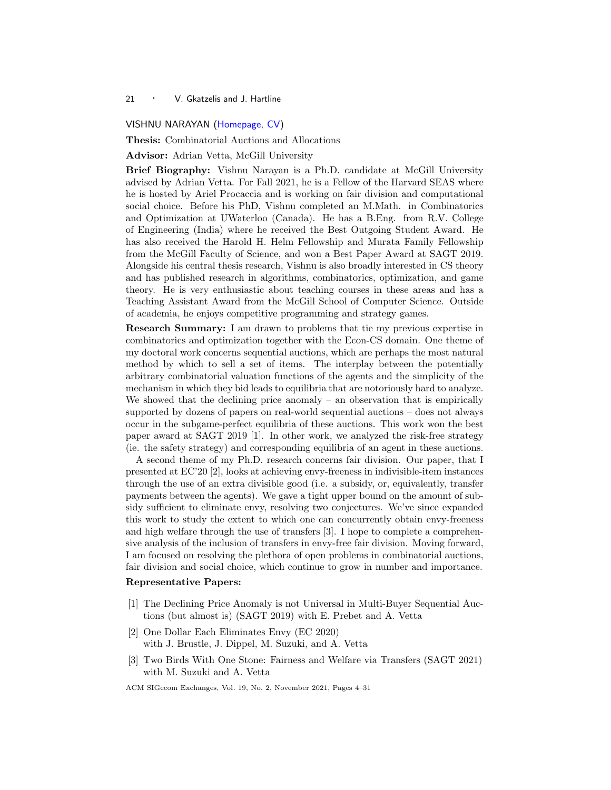## <span id="page-17-1"></span><span id="page-17-0"></span>VISHNU NARAYAN [\(Homepage,](https://www.cs.mcgill.ca/~vnaray4/) [CV\)](https://www.cs.mcgill.ca/~vnaray4/cvpage.html)

Thesis: Combinatorial Auctions and Allocations

Advisor: Adrian Vetta, McGill University

Brief Biography: Vishnu Narayan is a Ph.D. candidate at McGill University advised by Adrian Vetta. For Fall 2021, he is a Fellow of the Harvard SEAS where he is hosted by Ariel Procaccia and is working on fair division and computational social choice. Before his PhD, Vishnu completed an M.Math. in Combinatorics and Optimization at UWaterloo (Canada). He has a B.Eng. from R.V. College of Engineering (India) where he received the Best Outgoing Student Award. He has also received the Harold H. Helm Fellowship and Murata Family Fellowship from the McGill Faculty of Science, and won a Best Paper Award at SAGT 2019. Alongside his central thesis research, Vishnu is also broadly interested in CS theory and has published research in algorithms, combinatorics, optimization, and game theory. He is very enthusiastic about teaching courses in these areas and has a Teaching Assistant Award from the McGill School of Computer Science. Outside of academia, he enjoys competitive programming and strategy games.

Research Summary: I am drawn to problems that tie my previous expertise in combinatorics and optimization together with the Econ-CS domain. One theme of my doctoral work concerns sequential auctions, which are perhaps the most natural method by which to sell a set of items. The interplay between the potentially arbitrary combinatorial valuation functions of the agents and the simplicity of the mechanism in which they bid leads to equilibria that are notoriously hard to analyze. We showed that the declining price anomaly  $-$  an observation that is empirically supported by dozens of papers on real-world sequential auctions – does not always occur in the subgame-perfect equilibria of these auctions. This work won the best paper award at SAGT 2019 [1]. In other work, we analyzed the risk-free strategy (ie. the safety strategy) and corresponding equilibria of an agent in these auctions.

A second theme of my Ph.D. research concerns fair division. Our paper, that I presented at EC'20 [2], looks at achieving envy-freeness in indivisible-item instances through the use of an extra divisible good (i.e. a subsidy, or, equivalently, transfer payments between the agents). We gave a tight upper bound on the amount of subsidy sufficient to eliminate envy, resolving two conjectures. We've since expanded this work to study the extent to which one can concurrently obtain envy-freeness and high welfare through the use of transfers [3]. I hope to complete a comprehensive analysis of the inclusion of transfers in envy-free fair division. Moving forward, I am focused on resolving the plethora of open problems in combinatorial auctions, fair division and social choice, which continue to grow in number and importance.

## Representative Papers:

- [1] The Declining Price Anomaly is not Universal in Multi-Buyer Sequential Auctions (but almost is) (SAGT 2019) with E. Prebet and A. Vetta
- [2] One Dollar Each Eliminates Envy (EC 2020) with J. Brustle, J. Dippel, M. Suzuki, and A. Vetta
- [3] Two Birds With One Stone: Fairness and Welfare via Transfers (SAGT 2021) with M. Suzuki and A. Vetta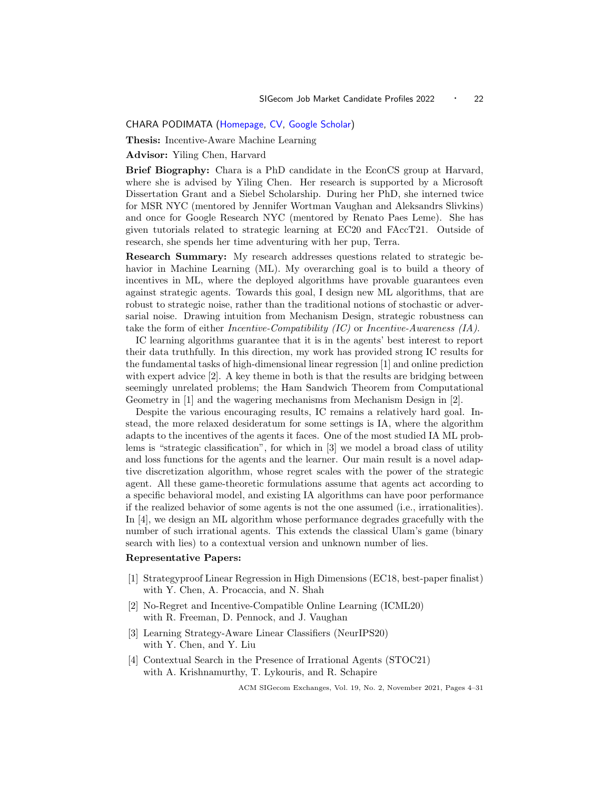<span id="page-18-1"></span><span id="page-18-0"></span>CHARA PODIMATA [\(Homepage,](https://www.charapodimata.com/) [CV,](https://www.charapodimata.com/files/cv/cv-charapod-sep21.pdf) [Google Scholar\)](https://scholar.google.com/citations?user=XY9hKvIAAAAJ&hl=en)

Thesis: Incentive-Aware Machine Learning

Advisor: Yiling Chen, Harvard

Brief Biography: Chara is a PhD candidate in the EconCS group at Harvard, where she is advised by Yiling Chen. Her research is supported by a Microsoft Dissertation Grant and a Siebel Scholarship. During her PhD, she interned twice for MSR NYC (mentored by Jennifer Wortman Vaughan and Aleksandrs Slivkins) and once for Google Research NYC (mentored by Renato Paes Leme). She has given tutorials related to strategic learning at EC20 and FAccT21. Outside of research, she spends her time adventuring with her pup, Terra.

Research Summary: My research addresses questions related to strategic behavior in Machine Learning (ML). My overarching goal is to build a theory of incentives in ML, where the deployed algorithms have provable guarantees even against strategic agents. Towards this goal, I design new ML algorithms, that are robust to strategic noise, rather than the traditional notions of stochastic or adversarial noise. Drawing intuition from Mechanism Design, strategic robustness can take the form of either *Incentive-Compatibility (IC)* or *Incentive-Awareness (IA)*.

IC learning algorithms guarantee that it is in the agents' best interest to report their data truthfully. In this direction, my work has provided strong IC results for the fundamental tasks of high-dimensional linear regression [1] and online prediction with expert advice [2]. A key theme in both is that the results are bridging between seemingly unrelated problems; the Ham Sandwich Theorem from Computational Geometry in [1] and the wagering mechanisms from Mechanism Design in [2].

Despite the various encouraging results, IC remains a relatively hard goal. Instead, the more relaxed desideratum for some settings is IA, where the algorithm adapts to the incentives of the agents it faces. One of the most studied IA ML problems is "strategic classification", for which in [3] we model a broad class of utility and loss functions for the agents and the learner. Our main result is a novel adaptive discretization algorithm, whose regret scales with the power of the strategic agent. All these game-theoretic formulations assume that agents act according to a specific behavioral model, and existing IA algorithms can have poor performance if the realized behavior of some agents is not the one assumed (i.e., irrationalities). In [4], we design an ML algorithm whose performance degrades gracefully with the number of such irrational agents. This extends the classical Ulam's game (binary search with lies) to a contextual version and unknown number of lies.

#### Representative Papers:

- [1] Strategyproof Linear Regression in High Dimensions (EC18, best-paper finalist) with Y. Chen, A. Procaccia, and N. Shah
- [2] No-Regret and Incentive-Compatible Online Learning (ICML20) with R. Freeman, D. Pennock, and J. Vaughan
- [3] Learning Strategy-Aware Linear Classifiers (NeurIPS20) with Y. Chen, and Y. Liu
- [4] Contextual Search in the Presence of Irrational Agents (STOC21) with A. Krishnamurthy, T. Lykouris, and R. Schapire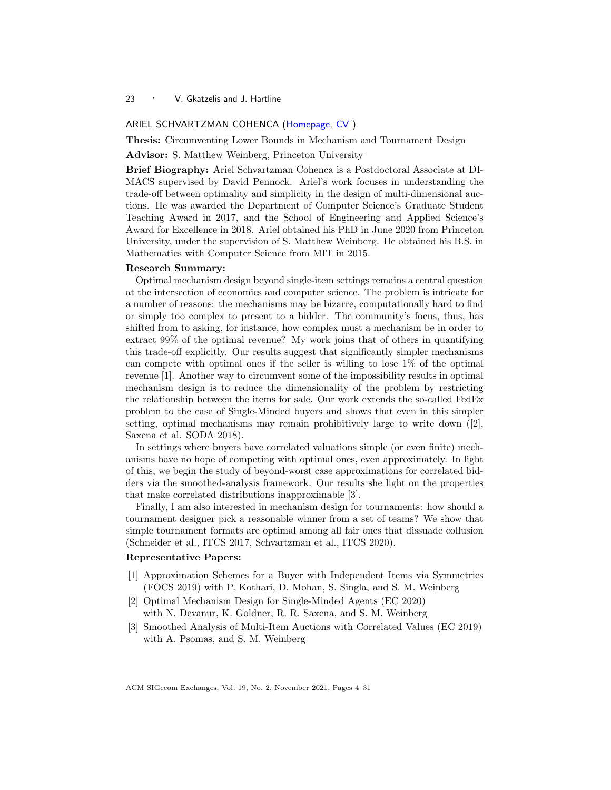#### <span id="page-19-1"></span><span id="page-19-0"></span>ARIEL SCHVARTZMAN COHENCA [\(Homepage,](https://sites.google.com/view/arielsch/) [CV](https://sites.google.com/view/arielsch/resume) )

Thesis: Circumventing Lower Bounds in Mechanism and Tournament Design

Advisor: S. Matthew Weinberg, Princeton University

Brief Biography: Ariel Schvartzman Cohenca is a Postdoctoral Associate at DI-MACS supervised by David Pennock. Ariel's work focuses in understanding the trade-off between optimality and simplicity in the design of multi-dimensional auctions. He was awarded the Department of Computer Science's Graduate Student Teaching Award in 2017, and the School of Engineering and Applied Science's Award for Excellence in 2018. Ariel obtained his PhD in June 2020 from Princeton University, under the supervision of S. Matthew Weinberg. He obtained his B.S. in Mathematics with Computer Science from MIT in 2015.

#### Research Summary:

Optimal mechanism design beyond single-item settings remains a central question at the intersection of economics and computer science. The problem is intricate for a number of reasons: the mechanisms may be bizarre, computationally hard to find or simply too complex to present to a bidder. The community's focus, thus, has shifted from to asking, for instance, how complex must a mechanism be in order to extract 99% of the optimal revenue? My work joins that of others in quantifying this trade-off explicitly. Our results suggest that significantly simpler mechanisms can compete with optimal ones if the seller is willing to lose 1% of the optimal revenue [1]. Another way to circumvent some of the impossibility results in optimal mechanism design is to reduce the dimensionality of the problem by restricting the relationship between the items for sale. Our work extends the so-called FedEx problem to the case of Single-Minded buyers and shows that even in this simpler setting, optimal mechanisms may remain prohibitively large to write down ([2], Saxena et al. SODA 2018).

In settings where buyers have correlated valuations simple (or even finite) mechanisms have no hope of competing with optimal ones, even approximately. In light of this, we begin the study of beyond-worst case approximations for correlated bidders via the smoothed-analysis framework. Our results she light on the properties that make correlated distributions inapproximable [3].

Finally, I am also interested in mechanism design for tournaments: how should a tournament designer pick a reasonable winner from a set of teams? We show that simple tournament formats are optimal among all fair ones that dissuade collusion (Schneider et al., ITCS 2017, Schvartzman et al., ITCS 2020).

#### Representative Papers:

- [1] Approximation Schemes for a Buyer with Independent Items via Symmetries (FOCS 2019) with P. Kothari, D. Mohan, S. Singla, and S. M. Weinberg
- [2] Optimal Mechanism Design for Single-Minded Agents (EC 2020) with N. Devanur, K. Goldner, R. R. Saxena, and S. M. Weinberg
- [3] Smoothed Analysis of Multi-Item Auctions with Correlated Values (EC 2019) with A. Psomas, and S. M. Weinberg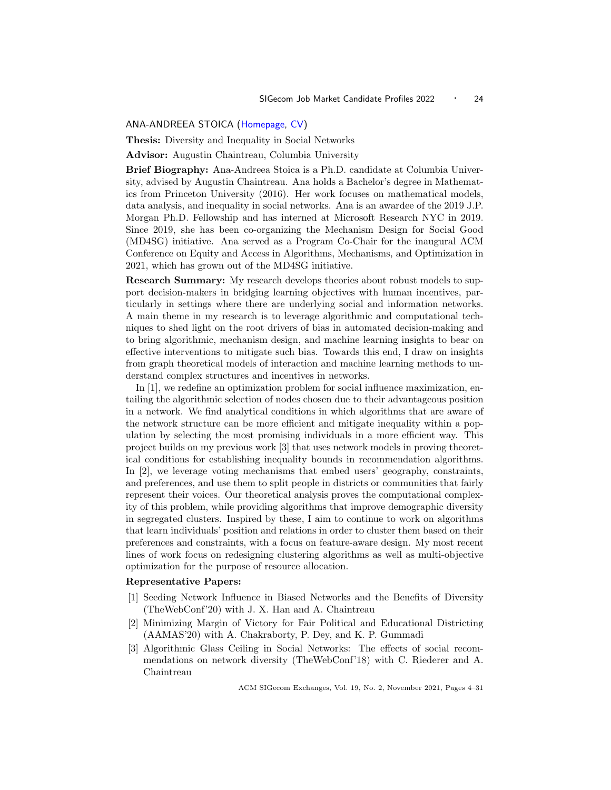## <span id="page-20-1"></span><span id="page-20-0"></span>ANA-ANDREEA STOICA [\(Homepage,](http://www.columbia.edu/~as5001/) [CV\)](https://drive.google.com/file/d/1fLz0C2dIN6vDBCRYrCR449Q5evWT4Hjn/view?usp=sharing)

Thesis: Diversity and Inequality in Social Networks

Advisor: Augustin Chaintreau, Columbia University

Brief Biography: Ana-Andreea Stoica is a Ph.D. candidate at Columbia University, advised by Augustin Chaintreau. Ana holds a Bachelor's degree in Mathematics from Princeton University (2016). Her work focuses on mathematical models, data analysis, and inequality in social networks. Ana is an awardee of the 2019 J.P. Morgan Ph.D. Fellowship and has interned at Microsoft Research NYC in 2019. Since 2019, she has been co-organizing the Mechanism Design for Social Good (MD4SG) initiative. Ana served as a Program Co-Chair for the inaugural ACM Conference on Equity and Access in Algorithms, Mechanisms, and Optimization in 2021, which has grown out of the MD4SG initiative.

Research Summary: My research develops theories about robust models to support decision-makers in bridging learning objectives with human incentives, particularly in settings where there are underlying social and information networks. A main theme in my research is to leverage algorithmic and computational techniques to shed light on the root drivers of bias in automated decision-making and to bring algorithmic, mechanism design, and machine learning insights to bear on effective interventions to mitigate such bias. Towards this end, I draw on insights from graph theoretical models of interaction and machine learning methods to understand complex structures and incentives in networks.

In [1], we redefine an optimization problem for social influence maximization, entailing the algorithmic selection of nodes chosen due to their advantageous position in a network. We find analytical conditions in which algorithms that are aware of the network structure can be more efficient and mitigate inequality within a population by selecting the most promising individuals in a more efficient way. This project builds on my previous work [3] that uses network models in proving theoretical conditions for establishing inequality bounds in recommendation algorithms. In [2], we leverage voting mechanisms that embed users' geography, constraints, and preferences, and use them to split people in districts or communities that fairly represent their voices. Our theoretical analysis proves the computational complexity of this problem, while providing algorithms that improve demographic diversity in segregated clusters. Inspired by these, I aim to continue to work on algorithms that learn individuals' position and relations in order to cluster them based on their preferences and constraints, with a focus on feature-aware design. My most recent lines of work focus on redesigning clustering algorithms as well as multi-objective optimization for the purpose of resource allocation.

## Representative Papers:

- [1] Seeding Network Influence in Biased Networks and the Benefits of Diversity (TheWebConf'20) with J. X. Han and A. Chaintreau
- [2] Minimizing Margin of Victory for Fair Political and Educational Districting (AAMAS'20) with A. Chakraborty, P. Dey, and K. P. Gummadi
- [3] Algorithmic Glass Ceiling in Social Networks: The effects of social recommendations on network diversity (TheWebConf'18) with C. Riederer and A. Chaintreau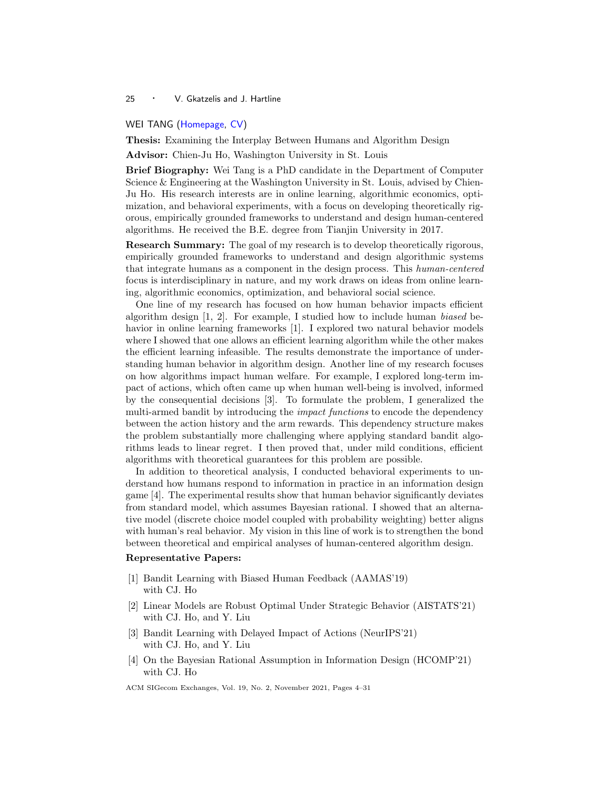## <span id="page-21-1"></span><span id="page-21-0"></span>WEI TANG [\(Homepage,](https://www.cse.wustl.edu/~w.tang/) [CV\)](https://www.cse.wustl.edu/~w.tang/CV)

Thesis: Examining the Interplay Between Humans and Algorithm Design

Advisor: Chien-Ju Ho, Washington University in St. Louis

Brief Biography: Wei Tang is a PhD candidate in the Department of Computer Science & Engineering at the Washington University in St. Louis, advised by Chien-Ju Ho. His research interests are in online learning, algorithmic economics, optimization, and behavioral experiments, with a focus on developing theoretically rigorous, empirically grounded frameworks to understand and design human-centered algorithms. He received the B.E. degree from Tianjin University in 2017.

Research Summary: The goal of my research is to develop theoretically rigorous, empirically grounded frameworks to understand and design algorithmic systems that integrate humans as a component in the design process. This human-centered focus is interdisciplinary in nature, and my work draws on ideas from online learning, algorithmic economics, optimization, and behavioral social science.

One line of my research has focused on how human behavior impacts efficient algorithm design  $[1, 2]$ . For example, I studied how to include human biased behavior in online learning frameworks [1]. I explored two natural behavior models where I showed that one allows an efficient learning algorithm while the other makes the efficient learning infeasible. The results demonstrate the importance of understanding human behavior in algorithm design. Another line of my research focuses on how algorithms impact human welfare. For example, I explored long-term impact of actions, which often came up when human well-being is involved, informed by the consequential decisions [3]. To formulate the problem, I generalized the multi-armed bandit by introducing the *impact functions* to encode the dependency between the action history and the arm rewards. This dependency structure makes the problem substantially more challenging where applying standard bandit algorithms leads to linear regret. I then proved that, under mild conditions, efficient algorithms with theoretical guarantees for this problem are possible.

In addition to theoretical analysis, I conducted behavioral experiments to understand how humans respond to information in practice in an information design game [4]. The experimental results show that human behavior significantly deviates from standard model, which assumes Bayesian rational. I showed that an alternative model (discrete choice model coupled with probability weighting) better aligns with human's real behavior. My vision in this line of work is to strengthen the bond between theoretical and empirical analyses of human-centered algorithm design.

#### Representative Papers:

- [1] Bandit Learning with Biased Human Feedback (AAMAS'19) with CJ. Ho
- [2] Linear Models are Robust Optimal Under Strategic Behavior (AISTATS'21) with CJ. Ho, and Y. Liu
- [3] Bandit Learning with Delayed Impact of Actions (NeurIPS'21) with CJ. Ho, and Y. Liu
- [4] On the Bayesian Rational Assumption in Information Design (HCOMP'21) with CJ. Ho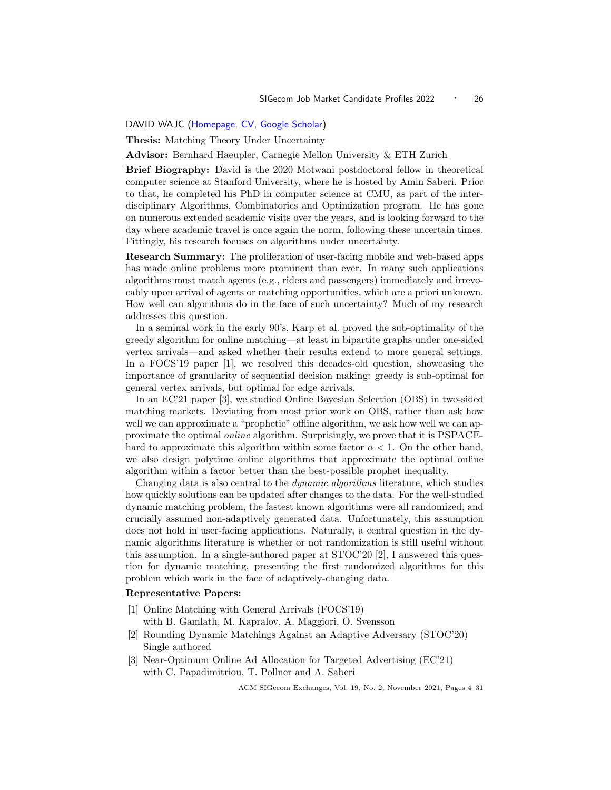## <span id="page-22-1"></span><span id="page-22-0"></span>DAVID WAJC [\(Homepage,](https://web.stanford.edu/~wajc/) [CV,](https://web.stanford.edu/~wajc/pdfs/DavidWajc_CV.pdf) [Google Scholar\)](https://scholar.google.com/citations?user=eV8u3CoAAAAJ&hl=en)

Thesis: Matching Theory Under Uncertainty

Advisor: Bernhard Haeupler, Carnegie Mellon University & ETH Zurich

Brief Biography: David is the 2020 Motwani postdoctoral fellow in theoretical computer science at Stanford University, where he is hosted by Amin Saberi. Prior to that, he completed his PhD in computer science at CMU, as part of the interdisciplinary Algorithms, Combinatorics and Optimization program. He has gone on numerous extended academic visits over the years, and is looking forward to the day where academic travel is once again the norm, following these uncertain times. Fittingly, his research focuses on algorithms under uncertainty.

Research Summary: The proliferation of user-facing mobile and web-based apps has made online problems more prominent than ever. In many such applications algorithms must match agents (e.g., riders and passengers) immediately and irrevocably upon arrival of agents or matching opportunities, which are a priori unknown. How well can algorithms do in the face of such uncertainty? Much of my research addresses this question.

In a seminal work in the early 90's, Karp et al. proved the sub-optimality of the greedy algorithm for online matching—at least in bipartite graphs under one-sided vertex arrivals—and asked whether their results extend to more general settings. In a FOCS'19 paper [1], we resolved this decades-old question, showcasing the importance of granularity of sequential decision making: greedy is sub-optimal for general vertex arrivals, but optimal for edge arrivals.

In an EC'21 paper [3], we studied Online Bayesian Selection (OBS) in two-sided matching markets. Deviating from most prior work on OBS, rather than ask how well we can approximate a "prophetic" offline algorithm, we ask how well we can approximate the optimal online algorithm. Surprisingly, we prove that it is PSPACEhard to approximate this algorithm within some factor  $\alpha < 1$ . On the other hand, we also design polytime online algorithms that approximate the optimal online algorithm within a factor better than the best-possible prophet inequality.

Changing data is also central to the dynamic algorithms literature, which studies how quickly solutions can be updated after changes to the data. For the well-studied dynamic matching problem, the fastest known algorithms were all randomized, and crucially assumed non-adaptively generated data. Unfortunately, this assumption does not hold in user-facing applications. Naturally, a central question in the dynamic algorithms literature is whether or not randomization is still useful without this assumption. In a single-authored paper at STOC'20 [2], I answered this question for dynamic matching, presenting the first randomized algorithms for this problem which work in the face of adaptively-changing data.

## Representative Papers:

- [1] Online Matching with General Arrivals (FOCS'19) with B. Gamlath, M. Kapralov, A. Maggiori, O. Svensson
- [2] Rounding Dynamic Matchings Against an Adaptive Adversary (STOC'20) Single authored
- [3] Near-Optimum Online Ad Allocation for Targeted Advertising (EC'21) with C. Papadimitriou, T. Pollner and A. Saberi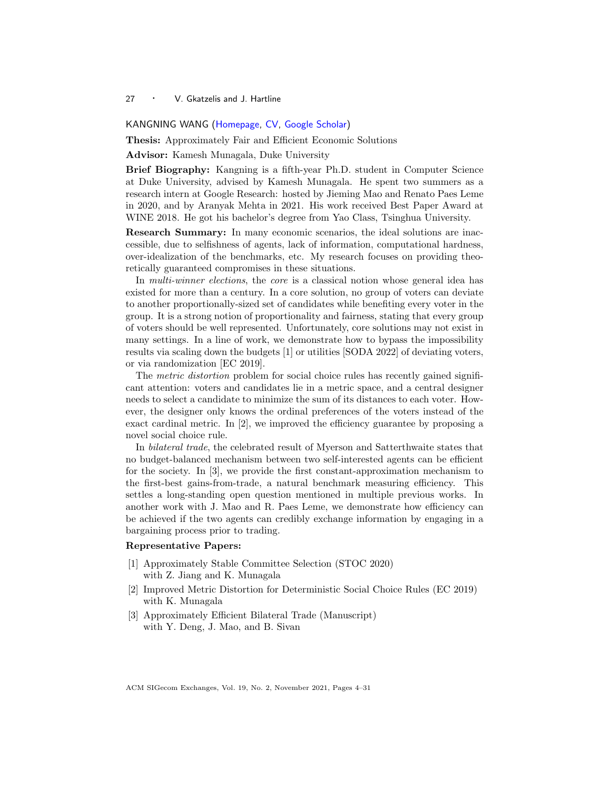<span id="page-23-1"></span><span id="page-23-0"></span>KANGNING WANG [\(Homepage,](https://sites.google.com/view/kangningwang/home) [CV,](https://drive.google.com/file/d/1iWGIdh7nFrxcHzIrrSJUOa_bhsxqNKC1/view?usp=sharing) [Google Scholar\)](https://scholar.google.com/citations?user=tK_Ty_IAAAAJ&hl=en)

Thesis: Approximately Fair and Efficient Economic Solutions

Advisor: Kamesh Munagala, Duke University

Brief Biography: Kangning is a fifth-year Ph.D. student in Computer Science at Duke University, advised by Kamesh Munagala. He spent two summers as a research intern at Google Research: hosted by Jieming Mao and Renato Paes Leme in 2020, and by Aranyak Mehta in 2021. His work received Best Paper Award at WINE 2018. He got his bachelor's degree from Yao Class, Tsinghua University.

Research Summary: In many economic scenarios, the ideal solutions are inaccessible, due to selfishness of agents, lack of information, computational hardness, over-idealization of the benchmarks, etc. My research focuses on providing theoretically guaranteed compromises in these situations.

In *multi-winner elections*, the *core* is a classical notion whose general idea has existed for more than a century. In a core solution, no group of voters can deviate to another proportionally-sized set of candidates while benefiting every voter in the group. It is a strong notion of proportionality and fairness, stating that every group of voters should be well represented. Unfortunately, core solutions may not exist in many settings. In a line of work, we demonstrate how to bypass the impossibility results via scaling down the budgets [1] or utilities [SODA 2022] of deviating voters, or via randomization [EC 2019].

The *metric distortion* problem for social choice rules has recently gained significant attention: voters and candidates lie in a metric space, and a central designer needs to select a candidate to minimize the sum of its distances to each voter. However, the designer only knows the ordinal preferences of the voters instead of the exact cardinal metric. In [2], we improved the efficiency guarantee by proposing a novel social choice rule.

In bilateral trade, the celebrated result of Myerson and Satterthwaite states that no budget-balanced mechanism between two self-interested agents can be efficient for the society. In [3], we provide the first constant-approximation mechanism to the first-best gains-from-trade, a natural benchmark measuring efficiency. This settles a long-standing open question mentioned in multiple previous works. In another work with J. Mao and R. Paes Leme, we demonstrate how efficiency can be achieved if the two agents can credibly exchange information by engaging in a bargaining process prior to trading.

## Representative Papers:

- [1] Approximately Stable Committee Selection (STOC 2020) with Z. Jiang and K. Munagala
- [2] Improved Metric Distortion for Deterministic Social Choice Rules (EC 2019) with K. Munagala
- [3] Approximately Efficient Bilateral Trade (Manuscript) with Y. Deng, J. Mao, and B. Sivan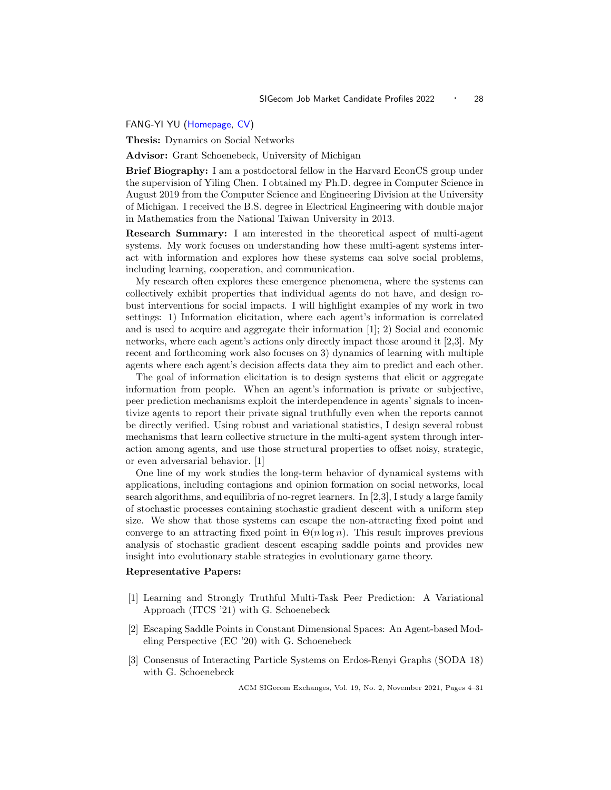## <span id="page-24-1"></span><span id="page-24-0"></span>FANG-YI YU [\(Homepage,](http://www-personal.umich.edu/~fayu/) [CV\)](http://www-personal.umich.edu/~fayu/CV.pdf)

Thesis: Dynamics on Social Networks

Advisor: Grant Schoenebeck, University of Michigan

Brief Biography: I am a postdoctoral fellow in the Harvard EconCS group under the supervision of Yiling Chen. I obtained my Ph.D. degree in Computer Science in August 2019 from the Computer Science and Engineering Division at the University of Michigan. I received the B.S. degree in Electrical Engineering with double major in Mathematics from the National Taiwan University in 2013.

Research Summary: I am interested in the theoretical aspect of multi-agent systems. My work focuses on understanding how these multi-agent systems interact with information and explores how these systems can solve social problems, including learning, cooperation, and communication.

My research often explores these emergence phenomena, where the systems can collectively exhibit properties that individual agents do not have, and design robust interventions for social impacts. I will highlight examples of my work in two settings: 1) Information elicitation, where each agent's information is correlated and is used to acquire and aggregate their information [1]; 2) Social and economic networks, where each agent's actions only directly impact those around it [2,3]. My recent and forthcoming work also focuses on 3) dynamics of learning with multiple agents where each agent's decision affects data they aim to predict and each other.

The goal of information elicitation is to design systems that elicit or aggregate information from people. When an agent's information is private or subjective, peer prediction mechanisms exploit the interdependence in agents' signals to incentivize agents to report their private signal truthfully even when the reports cannot be directly verified. Using robust and variational statistics, I design several robust mechanisms that learn collective structure in the multi-agent system through interaction among agents, and use those structural properties to offset noisy, strategic, or even adversarial behavior. [1]

One line of my work studies the long-term behavior of dynamical systems with applications, including contagions and opinion formation on social networks, local search algorithms, and equilibria of no-regret learners. In [2,3], I study a large family of stochastic processes containing stochastic gradient descent with a uniform step size. We show that those systems can escape the non-attracting fixed point and converge to an attracting fixed point in  $\Theta(n \log n)$ . This result improves previous analysis of stochastic gradient descent escaping saddle points and provides new insight into evolutionary stable strategies in evolutionary game theory.

#### Representative Papers:

- [1] Learning and Strongly Truthful Multi-Task Peer Prediction: A Variational Approach (ITCS '21) with G. Schoenebeck
- [2] Escaping Saddle Points in Constant Dimensional Spaces: An Agent-based Modeling Perspective (EC '20) with G. Schoenebeck
- [3] Consensus of Interacting Particle Systems on Erdos-Renyi Graphs (SODA 18) with G. Schoenebeck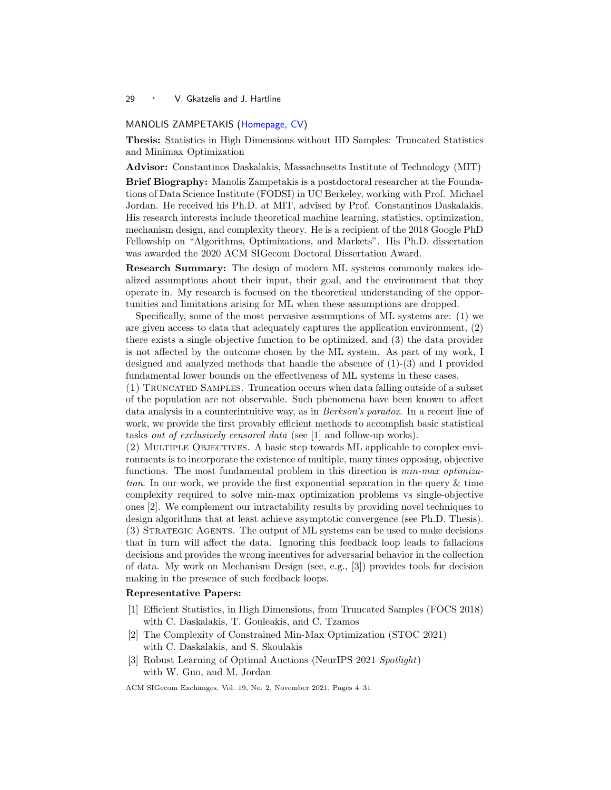## <span id="page-25-1"></span><span id="page-25-0"></span>MANOLIS ZAMPETAKIS [\(Homepage,](https://mzampet.com/) [CV\)](https://mzampet.com/files/CV.pdf)

Thesis: Statistics in High Dimensions without IID Samples: Truncated Statistics and Minimax Optimization

Advisor: Constantinos Daskalakis, Massachusetts Institute of Technology (MIT)

Brief Biography: Manolis Zampetakis is a postdoctoral researcher at the Foundations of Data Science Institute (FODSI) in UC Berkeley, working with Prof. Michael Jordan. He received his Ph.D. at MIT, advised by Prof. Constantinos Daskalakis. His research interests include theoretical machine learning, statistics, optimization, mechanism design, and complexity theory. He is a recipient of the 2018 Google PhD Fellowship on "Algorithms, Optimizations, and Markets". His Ph.D. dissertation was awarded the 2020 ACM SIGecom Doctoral Dissertation Award.

Research Summary: The design of modern ML systems commonly makes idealized assumptions about their input, their goal, and the environment that they operate in. My research is focused on the theoretical understanding of the opportunities and limitations arising for ML when these assumptions are dropped.

Specifically, some of the most pervasive assumptions of ML systems are: (1) we are given access to data that adequately captures the application environment, (2) there exists a single objective function to be optimized, and (3) the data provider is not affected by the outcome chosen by the ML system. As part of my work, I designed and analyzed methods that handle the absence of  $(1)-(3)$  and I provided fundamental lower bounds on the effectiveness of ML systems in these cases.

(1) Truncated Samples. Truncation occurs when data falling outside of a subset of the population are not observable. Such phenomena have been known to affect data analysis in a counterintuitive way, as in Berkson's paradox. In a recent line of work, we provide the first provably efficient methods to accomplish basic statistical tasks out of exclusively censored data (see [1] and follow-up works).

(2) Multiple Objectives. A basic step towards ML applicable to complex environments is to incorporate the existence of multiple, many times opposing, objective functions. The most fundamental problem in this direction is *min-max optimiza*tion. In our work, we provide the first exponential separation in the query & time complexity required to solve min-max optimization problems vs single-objective ones [2]. We complement our intractability results by providing novel techniques to design algorithms that at least achieve asymptotic convergence (see Ph.D. Thesis). (3) Strategic Agents. The output of ML systems can be used to make decisions that in turn will affect the data. Ignoring this feedback loop leads to fallacious decisions and provides the wrong incentives for adversarial behavior in the collection of data. My work on Mechanism Design (see, e.g., [3]) provides tools for decision making in the presence of such feedback loops.

## Representative Papers:

- [1] Efficient Statistics, in High Dimensions, from Truncated Samples (FOCS 2018) with C. Daskalakis, T. Gouleakis, and C. Tzamos
- [2] The Complexity of Constrained Min-Max Optimization (STOC 2021) with C. Daskalakis, and S. Skoulakis
- [3] Robust Learning of Optimal Auctions (NeurIPS 2021 Spotlight) with W. Guo, and M. Jordan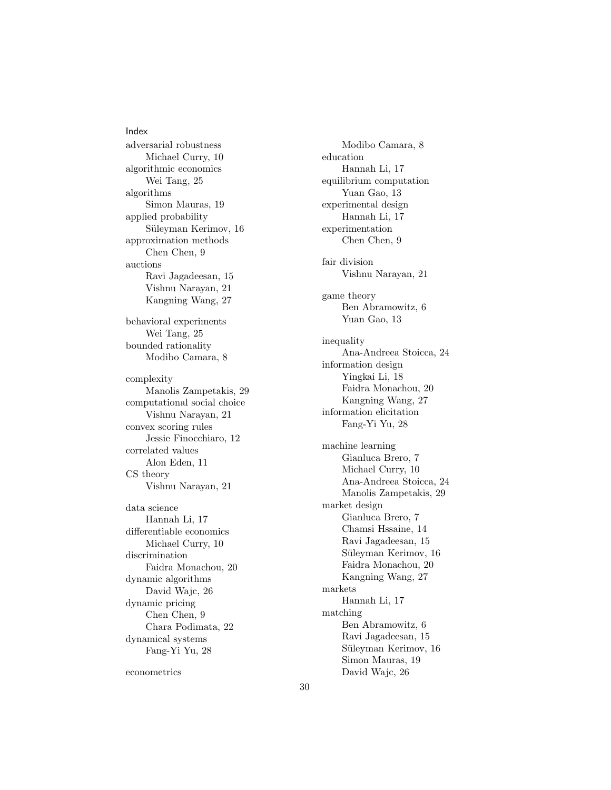Index adversarial robustness Michael Curry, [10](#page-6-1) algorithmic economics Wei Tang, [25](#page-21-1) algorithms Simon Mauras, [19](#page-15-1) applied probability Süleyman Kerimov, [16](#page-12-1) approximation methods Chen Chen, [9](#page-5-1) auctions Ravi Jagadeesan, [15](#page-11-1) Vishnu Narayan, [21](#page-17-1) Kangning Wang, [27](#page-23-1) behavioral experiments Wei Tang, [25](#page-21-1) bounded rationality Modibo Camara, [8](#page-4-1) complexity Manolis Zampetakis, [29](#page-25-1) computational social choice Vishnu Narayan, [21](#page-17-1) convex scoring rules Jessie Finocchiaro, [12](#page-8-1) correlated values Alon Eden, [11](#page-7-1) CS theory Vishnu Narayan, [21](#page-17-1) data science Hannah Li, [17](#page-13-1) differentiable economics Michael Curry, [10](#page-6-1) discrimination Faidra Monachou, [20](#page-16-1) dynamic algorithms David Wajc, [26](#page-22-1) dynamic pricing Chen Chen, [9](#page-5-1) Chara Podimata, [22](#page-18-1) dynamical systems Fang-Yi Yu, [28](#page-24-1) econometrics

Modibo Camara, [8](#page-4-1) education Hannah Li, [17](#page-13-1) equilibrium computation Yuan Gao, [13](#page-9-1) experimental design Hannah Li, [17](#page-13-1) experimentation Chen Chen, [9](#page-5-1) fair division Vishnu Narayan, [21](#page-17-1) game theory Ben Abramowitz, [6](#page-2-1) Yuan Gao, [13](#page-9-1) inequality Ana-Andreea Stoicca, [24](#page-20-1) information design Yingkai Li, [18](#page-14-1) Faidra Monachou, [20](#page-16-1) Kangning Wang, [27](#page-23-1) information elicitation Fang-Yi Yu, [28](#page-24-1) machine learning Gianluca Brero, [7](#page-3-1) Michael Curry, [10](#page-6-1) Ana-Andreea Stoicca, [24](#page-20-1) Manolis Zampetakis, [29](#page-25-1) market design Gianluca Brero, [7](#page-3-1) Chamsi Hssaine, [14](#page-10-1) Ravi Jagadeesan, [15](#page-11-1) Süleyman Kerimov, [16](#page-12-1) Faidra Monachou, [20](#page-16-1) Kangning Wang, [27](#page-23-1) markets Hannah Li, [17](#page-13-1) matching Ben Abramowitz, [6](#page-2-1) Ravi Jagadeesan, [15](#page-11-1) Süleyman Kerimov, [16](#page-12-1) Simon Mauras, [19](#page-15-1) David Wajc, [26](#page-22-1)